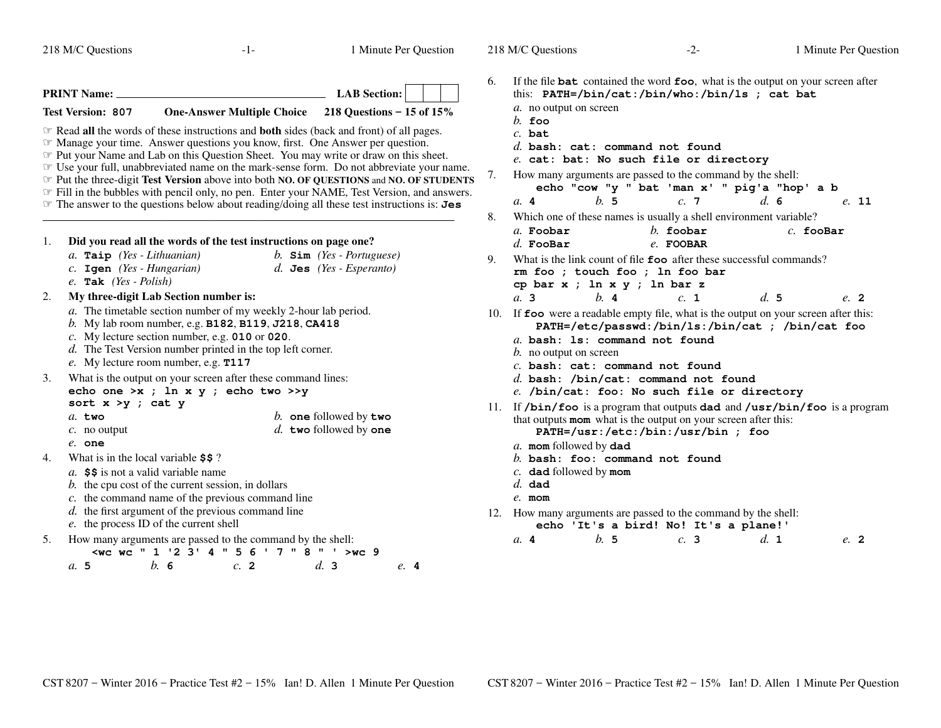*a.* **5**

 $-1-$  1

Minute Per Question

218 M/C Questions

|    | <b>PRINT Name:</b>                        |                                                                                                                       |                                                                                                                                                                                                                                                                                                                                                                                                                                                                                                                                                                                                                                                                                     |                                                           | <b>LAB</b> Section: |  |
|----|-------------------------------------------|-----------------------------------------------------------------------------------------------------------------------|-------------------------------------------------------------------------------------------------------------------------------------------------------------------------------------------------------------------------------------------------------------------------------------------------------------------------------------------------------------------------------------------------------------------------------------------------------------------------------------------------------------------------------------------------------------------------------------------------------------------------------------------------------------------------------------|-----------------------------------------------------------|---------------------|--|
|    | <b>Test Version: 807</b>                  |                                                                                                                       | One-Answer Multiple Choice 218 Questions - 15 of 15%                                                                                                                                                                                                                                                                                                                                                                                                                                                                                                                                                                                                                                |                                                           |                     |  |
|    |                                           |                                                                                                                       | <b>Example 3</b> Read all the words of these instructions and <b>both</b> sides (back and front) of all pages.<br><b>Example 20 Set Alleman</b> Manage your time. Answer question.<br><b>Example 1</b> Put your Name and Lab on this Question Sheet. You may write or draw on this sheet.<br>The your full, unabbreviated name on the mark-sense form. Do not abbreviate your name.<br>Put the three-digit Test Version above into both NO. OF QUESTIONS and NO. OF STUDENTS<br>Fill in the bubbles with pencil only, no pen. Enter your NAME, Test Version, and answers.<br>$\mathcal F$ The answer to the questions below about reading/doing all these test instructions is: Jes |                                                           |                     |  |
| 1. |                                           |                                                                                                                       | Did you read all the words of the test instructions on page one?                                                                                                                                                                                                                                                                                                                                                                                                                                                                                                                                                                                                                    |                                                           |                     |  |
|    | $e.$ Tak (Yes - Polish)                   | a. Taip (Yes - Lithuanian)<br>$c.$ Igen (Yes - Hungarian)                                                             |                                                                                                                                                                                                                                                                                                                                                                                                                                                                                                                                                                                                                                                                                     | b. $Sim$ (Yes - Portuguese)<br>$d.$ Jes (Yes - Esperanto) |                     |  |
| 2. |                                           | My three-digit Lab Section number is:<br>e. My lecture room number, e.g. T117                                         | a. The timetable section number of my weekly 2-hour lab period.<br>b. My lab room number, e.g. <b>B182</b> , <b>B119</b> , $J218$ , <b>CA418</b><br>c. My lecture section number, e.g. $010$ or $020$ .<br>d. The Test Version number printed in the top left corner.                                                                                                                                                                                                                                                                                                                                                                                                               |                                                           |                     |  |
| 3. | sort $x > y$ ; cat y                      |                                                                                                                       | What is the output on your screen after these command lines:<br>echo one >x ; ln x y ; echo two >>y                                                                                                                                                                                                                                                                                                                                                                                                                                                                                                                                                                                 |                                                           |                     |  |
|    | $a$ . two<br>$c$ . no output<br>$e$ . one |                                                                                                                       |                                                                                                                                                                                                                                                                                                                                                                                                                                                                                                                                                                                                                                                                                     | b. one followed by two<br>d. two followed by one          |                     |  |
| 4. |                                           | What is in the local variable \$\$?<br>a. \$\$ is not a valid variable name<br>e. the process ID of the current shell | b. the cpu cost of the current session, in dollars<br>c. the command name of the previous command line<br>d. the first argument of the previous command line                                                                                                                                                                                                                                                                                                                                                                                                                                                                                                                        |                                                           |                     |  |
| 5. | a. 5                                      | b.<br>- 6                                                                                                             | How many arguments are passed to the command by the shell:<br><wc "="" '="" '2="" 1="" 3'="" 4="" 5="" 6="" 7="" 8="" wc="">wc 9<br/>c. 2</wc>                                                                                                                                                                                                                                                                                                                                                                                                                                                                                                                                      | d.3                                                       | e.4                 |  |

| 6.  | If the file <b>bat</b> contained the word <b>foo</b> , what is the output on your screen after<br>this: PATH=/bin/cat:/bin/who:/bin/ls ; cat bat         |
|-----|----------------------------------------------------------------------------------------------------------------------------------------------------------|
|     | a. no output on screen                                                                                                                                   |
|     | $h$ . foo                                                                                                                                                |
|     | $c.$ bat<br>d. bash: $cat:$ command not found                                                                                                            |
|     | e. cat: bat: No such file or directory                                                                                                                   |
| 7.  | How many arguments are passed to the command by the shell:                                                                                               |
|     | echo "cow "y " bat 'man x' " pig'a "hop' a b                                                                                                             |
|     | h.5<br>d.6<br>c.7<br>e. 11<br>$a$ . 4                                                                                                                    |
| 8.  | Which one of these names is usually a shell environment variable?                                                                                        |
|     | $h$ . foobar<br>$a$ . Foobar<br>$c.$ fooBar<br>$d.$ FooBar<br>e. FOOBAR                                                                                  |
| 9.  | What is the link count of file <b>foo</b> after these successful commands?                                                                               |
|     | rm foo ; touch foo ; ln foo bar                                                                                                                          |
|     | cp bar x ; ln x y ; ln bar z                                                                                                                             |
|     | d.5<br>$h$ . 4<br>c. 1<br>a. 3<br>e. 2                                                                                                                   |
| 10. | If foo were a readable empty file, what is the output on your screen after this:<br>PATH=/etc/passwd:/bin/ls:/bin/cat ; /bin/cat foo                     |
|     | a. bash: 1s: command not found                                                                                                                           |
|     | <i>b</i> . no output on screen                                                                                                                           |
|     | $c.$ bash: $cat:$ command not found                                                                                                                      |
|     | $d.$ bash: /bin/cat: command not found<br>e. /bin/cat: foo: No such file or directory                                                                    |
|     |                                                                                                                                                          |
|     | 11. If $/bin/foo$ is a program that outputs dad and $/usr/bin/foo$ is a program<br>that outputs <b>mom</b> what is the output on your screen after this: |
|     | PATH=/usr:/etc:/bin:/usr/bin ; foo                                                                                                                       |
|     | a. mom followed by dad                                                                                                                                   |
|     | $b.$ bash: foo: command not found<br>$c$ . dad followed by mom                                                                                           |
|     | $d.$ dad                                                                                                                                                 |
|     | $e$ . mom                                                                                                                                                |
| 12. | How many arguments are passed to the command by the shell:                                                                                               |
|     |                                                                                                                                                          |

**echo 'It's a bird! No! It's a plane!'**

| a.4 | b. 5 | c.3 | d. 1 | e. 2 |  |
|-----|------|-----|------|------|--|
|     |      |     |      |      |  |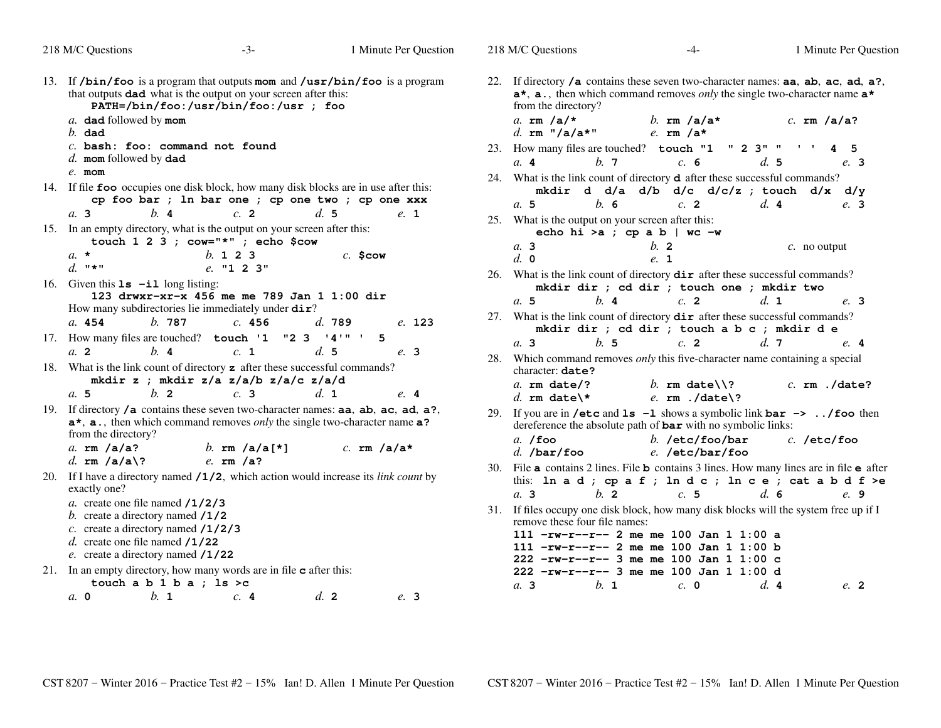| 218 M/C Questions                                                                                                                                                                          | $-3-$                                                                                                                                                                                                  | 1 Minute Per Question                  | 218 M/C Questions                                               | $-4-$                                                                                                                                                                        | 1 Minute Per Question                                                                                                                                                                                               |
|--------------------------------------------------------------------------------------------------------------------------------------------------------------------------------------------|--------------------------------------------------------------------------------------------------------------------------------------------------------------------------------------------------------|----------------------------------------|-----------------------------------------------------------------|------------------------------------------------------------------------------------------------------------------------------------------------------------------------------|---------------------------------------------------------------------------------------------------------------------------------------------------------------------------------------------------------------------|
| a. dad followed by mom<br>$b.$ dad                                                                                                                                                         | 13. If $/bin/foo$ is a program that outputs mom and $/usr/bin/foo$ is a program<br>that outputs <b>dad</b> what is the output on your screen after this:<br>PATH=/bin/foo:/usr/bin/foo:/usr ; foo      |                                        | from the directory?<br>a. $rm/a$ / $\star$<br>d. rm $''/a/a*$ " | b. $rm/a/a*$<br>e. $rm/a*$                                                                                                                                                   | 22. If directory $/a$ contains these seven two-character names: $aa$ , $ab$ , $ac$ , $ad$ , $a$ ?,<br>$a^*$ , $a$ ., then which command removes <i>only</i> the single two-character name $a^*$<br>$c.$ rm $/a/a$ ? |
| $c.$ bash: foo: command not found<br>$d.$ mom followed by dad                                                                                                                              |                                                                                                                                                                                                        |                                        |                                                                 | 23. How many files are touched? touch "1 " 2 3" " ' ' 4 5                                                                                                                    |                                                                                                                                                                                                                     |
| $e$ . mom                                                                                                                                                                                  |                                                                                                                                                                                                        |                                        | b.7<br>a.4                                                      | c. 6                                                                                                                                                                         | d.5<br>e. 3                                                                                                                                                                                                         |
| a.3<br>b.4                                                                                                                                                                                 | 14. If file foo occupies one disk block, how many disk blocks are in use after this:<br>cp foo bar ; ln bar one ; cp one two ; cp one xxx<br>c. 2                                                      | d.5<br>e. 1                            | b.6<br>a.5<br>25. What is the output on your screen after this: | 24. What is the link count of directory <b>d</b> after these successful commands?<br>$c$ . 2                                                                                 | mkdir d d/a d/b d/c d/c/z ; touch d/x d/y<br>d.4<br>e. 3                                                                                                                                                            |
|                                                                                                                                                                                            | 15. In an empty directory, what is the output on your screen after this:                                                                                                                               |                                        |                                                                 | echo hi > a ; cp a b   wc $-w$                                                                                                                                               |                                                                                                                                                                                                                     |
| $a. \star$                                                                                                                                                                                 | touch $1\ 2\ 3$ ; cow="*"; echo \$cow<br>b. 1 2 3                                                                                                                                                      | $c.$ \$cow                             | a. 3<br>d. 0                                                    | b.2<br>e. 1                                                                                                                                                                  | $c$ . no output                                                                                                                                                                                                     |
| d. $"$ *"<br>16. Given this $1s - i1$ long listing:                                                                                                                                        | e. "1 2 3"                                                                                                                                                                                             |                                        |                                                                 | 26. What is the link count of directory <b>dir</b> after these successful commands?<br>mkdir dir ; cd dir ; touch one ; mkdir two                                            |                                                                                                                                                                                                                     |
| b.787<br>a. 454                                                                                                                                                                            | 123 drwxr-xr-x 456 me me 789 Jan 1 1:00 dir<br>How many subdirectories lie immediately under dir?<br>c.456                                                                                             | d.789<br>e. 123                        | b.4<br>a.5                                                      | c.2<br>27. What is the link count of directory <b>dir</b> after these successful commands?<br>mkdir dir ; cd dir ; touch a b c ; mkdir d e                                   | $d_{\mathbf{1}}$<br>e. 3                                                                                                                                                                                            |
| 17. How many files are touched? touch '1                                                                                                                                                   |                                                                                                                                                                                                        | "2 3 '4'" ' 5                          | h.5<br>a.3                                                      | c.2                                                                                                                                                                          | d.7<br>e.4                                                                                                                                                                                                          |
| a <sub>2</sub><br>b.4<br>$b$ . 2<br>a.5                                                                                                                                                    | c. 1<br>18. What is the link count of directory <b>z</b> after these successful commands?<br>mkdir z ; mkdir z/a z/a/b z/a/c z/a/d<br>c.3                                                              | d.5<br>e. 3<br>$d_{\mathbf{1}}$<br>e.4 | character: date?<br>$a.$ rm date/?<br>d. rm date\*              | b. rm date\\?<br>e. $rm. /date$ ?                                                                                                                                            | 28. Which command removes <i>only</i> this five-character name containing a special<br>$c.$ rm $./date?$                                                                                                            |
| from the directory?<br>a. $rm/a/a?$                                                                                                                                                        | 19. If directory /a contains these seven two-character names: aa, ab, ac, ad, a?,<br>$a^*$ , $a$ ., then which command removes <i>only</i> the single two-character name $a$ ?<br><i>b.</i> rm /a/a[*] | $c.$ rm $/a/a*$                        | $a.$ /foo<br>$d.$ /bar/foo                                      | dereference the absolute path of <b>bar</b> with no symbolic links:<br>b. /etc/foo/bar<br>e. /etc/bar/foo                                                                    | 29. If you are in /etc and $ls -1$ shows a symbolic link $bar \rightarrow / f$ oo then<br>$c.$ /etc/foo                                                                                                             |
| d. rm $/a/a$ ?<br>exactly one?                                                                                                                                                             | $e.$ rm $/a$ ?<br>20. If I have a directory named $/1/2$ , which action would increase its <i>link count</i> by                                                                                        |                                        | $b$ . 2<br>a.3                                                  | c.5                                                                                                                                                                          | 30. File a contains 2 lines. File b contains 3 lines. How many lines are in file e after<br>this: ln a d ; cp a f ; ln d c ; ln c e ; cat a b d f >e<br>d.6<br>e. 9                                                 |
| a. create one file named $/1/2/3$<br>b. create a directory named $/1/2$<br>c. create a directory named $/1/2/3$<br>d. create one file named $/1/22$<br>e. create a directory named $/1/22$ | 21. In an empty directory, how many words are in file <b>c</b> after this:                                                                                                                             |                                        | remove these four file names:                                   | 111 $-rw-r--r--$ 2 me me 100 Jan 1 1:00 a<br>111 $-rw-r--r--$ 2 me me 100 Jan 1 1:00 b<br>222 -rw-r--r-- 3 me me 100 Jan 1 1:00 c<br>222 -rw-r--r-- 3 me me 100 Jan 1 1:00 d | 31. If files occupy one disk block, how many disk blocks will the system free up if I                                                                                                                               |
| touch a $b$ 1 $b$ a ; 1s >c                                                                                                                                                                |                                                                                                                                                                                                        |                                        | b. 1<br>a.3                                                     | $c. \; 0$                                                                                                                                                                    | d.4<br>$e^{2}$                                                                                                                                                                                                      |
| $h_{\cdot}$ 1<br>$a. \, 0$                                                                                                                                                                 | c.4                                                                                                                                                                                                    | $d_{\mathbf{z}}$ 2<br>e. 3             |                                                                 |                                                                                                                                                                              |                                                                                                                                                                                                                     |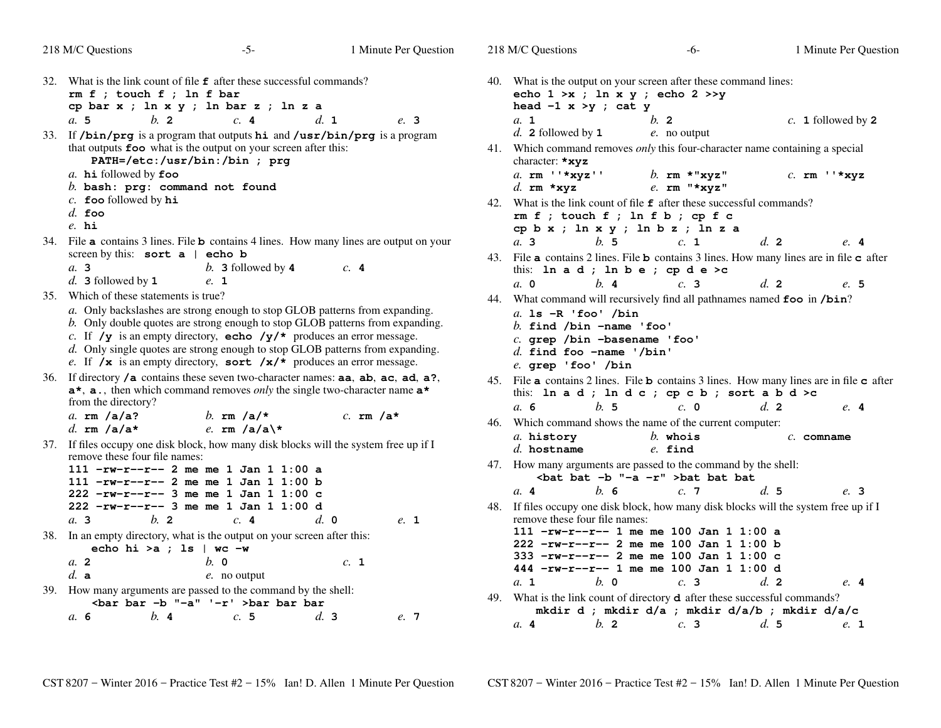| 32. What is the link count of file $\epsilon$ after these successful commands?<br>40. What is the output on your screen after these command lines:<br>$rm f$ ; touch $f$ ; ln $f$ bar<br>echo $1 \gt x$ ; $\ln x$ y; echo $2 \gt y$<br>cp bar $x$ ; $\ln x$ $y$ ; $\ln$ bar $z$ ; $\ln z$ a<br>head $-1$ x >y ; cat y<br>$b$ . 2<br>c.4<br>d. 1<br>a.5<br>e. 3<br>a. 1<br>$b$ . 2<br>$c. 1$ followed by 2<br>$d.$ 2 followed by 1<br>$e$ . no output<br>33. If /bin/prg is a program that outputs hi and /usr/bin/prg is a program<br>that outputs foo what is the output on your screen after this:<br>41. Which command removes only this four-character name containing a special<br>PATH=/etc:/usr/bin:/bin ; prg<br>character: *xyz<br>a. $rm$ $"\star xyz"$<br>$a$ . hi followed by foo<br>b. $rm * "xyz"$<br>$c.$ rm $'$ *xyz<br>$b.$ bash: $prg:$ command not found<br>d. $rm xxyz$<br>$e$ . rm "*xyz"<br>$c$ . foo followed by $hi$<br>42. What is the link count of file $f$ after these successful commands?<br>$d.$ foo<br>$rm f$ ; touch $f$ ; ln $f$ b; cp $f$ c<br>$e.$ hi<br>cp $b x$ ; $\ln x y$ ; $\ln b z$ ; $\ln z a$<br>34. File a contains 3 lines. File b contains 4 lines. How many lines are output on your<br>b.5<br>$d_{\alpha}$ 2<br>a.3<br>c. 1<br>screen by this: sort a   echo b<br>43. File a contains 2 lines. File b contains 3 lines. How many lines are in file c after<br>a.3<br>b. 3 followed by $4$<br>c.4<br>this: $\ln a d$ ; $\ln b e$ ; $\operatorname{cp} d e > c$<br>$d.$ 3 followed by 1<br>e. 1<br>$a. \, 0$<br>b.4<br>d.2<br>c.3<br>35. Which of these statements is true?<br>44. What command will recursively find all pathnames named foo in /bin?<br>a. Only backslashes are strong enough to stop GLOB patterns from expanding.<br>a. $ls$ -R 'foo' /bin<br>b. Only double quotes are strong enough to stop GLOB patterns from expanding.<br>b. find $\lambda$ /bin -name 'foo'<br>c. If $/y$ is an empty directory, echo $/y/*$ produces an error message.<br>c. grep /bin -basename 'foo'<br>d. Only single quotes are strong enough to stop GLOB patterns from expanding.<br>$d.$ find foo -name '/bin'<br>e. If $/\mathbf{x}$ is an empty directory, sort $/\mathbf{x}/*$ produces an error message.<br>e. grep 'foo' /bin<br>If directory $/a$ contains these seven two-character names: $aa$ , $ab$ , $ac$ , $ad$ , $a$ ?,<br>36.<br>45. File a contains 2 lines. File b contains 3 lines. How many lines are in file c after<br>$a^*$ , $a$ ., then which command removes <i>only</i> the single two-character name $a^*$<br>this: In a d; In d c; cp c b; sort a b d >c<br>from the directory?<br>b.5<br>$c. \; 0$<br>a. 6<br>d.2<br>e.4<br>a. $rm/a/a?$<br>b. $rm/a/*$<br>c. $rm/a*$<br>46. Which command shows the name of the current computer:<br>e. rm /a/a\*<br>d. $rm/a/a*$<br>a. history<br>$b$ . whois<br>$c.$ comname<br>37. If files occupy one disk block, how many disk blocks will the system free up if I<br>$d.$ hostname<br>$e.$ find<br>remove these four file names:<br>47. How many arguments are passed to the command by the shell:<br>111 $-rw-r--r--$ 2 me me 1 Jan 1 1:00 a<br><br>bat bat -b "-a -r" >bat bat bat<br>$111 - rw-r-r-2$ me me 1 Jan 1 1:00 b<br>b.6<br> | 218 M/C Questions | $-5-$ | 1 Minute Per Question | 218 M/C Questions | -6- | 1 Minute Per Question |
|--------------------------------------------------------------------------------------------------------------------------------------------------------------------------------------------------------------------------------------------------------------------------------------------------------------------------------------------------------------------------------------------------------------------------------------------------------------------------------------------------------------------------------------------------------------------------------------------------------------------------------------------------------------------------------------------------------------------------------------------------------------------------------------------------------------------------------------------------------------------------------------------------------------------------------------------------------------------------------------------------------------------------------------------------------------------------------------------------------------------------------------------------------------------------------------------------------------------------------------------------------------------------------------------------------------------------------------------------------------------------------------------------------------------------------------------------------------------------------------------------------------------------------------------------------------------------------------------------------------------------------------------------------------------------------------------------------------------------------------------------------------------------------------------------------------------------------------------------------------------------------------------------------------------------------------------------------------------------------------------------------------------------------------------------------------------------------------------------------------------------------------------------------------------------------------------------------------------------------------------------------------------------------------------------------------------------------------------------------------------------------------------------------------------------------------------------------------------------------------------------------------------------------------------------------------------------------------------------------------------------------------------------------------------------------------------------------------------------------------------------------------------------------------------------------------------------------------------------------------------------------------------------------------------------------------------------------------------------------------------------------------------------------------------------------------------------------------------------------------------------------------------------------------------------------------------------------------------------------------------------------------|-------------------|-------|-----------------------|-------------------|-----|-----------------------|
|                                                                                                                                                                                                                                                                                                                                                                                                                                                                                                                                                                                                                                                                                                                                                                                                                                                                                                                                                                                                                                                                                                                                                                                                                                                                                                                                                                                                                                                                                                                                                                                                                                                                                                                                                                                                                                                                                                                                                                                                                                                                                                                                                                                                                                                                                                                                                                                                                                                                                                                                                                                                                                                                                                                                                                                                                                                                                                                                                                                                                                                                                                                                                                                                                                                              |                   |       |                       |                   |     |                       |
|                                                                                                                                                                                                                                                                                                                                                                                                                                                                                                                                                                                                                                                                                                                                                                                                                                                                                                                                                                                                                                                                                                                                                                                                                                                                                                                                                                                                                                                                                                                                                                                                                                                                                                                                                                                                                                                                                                                                                                                                                                                                                                                                                                                                                                                                                                                                                                                                                                                                                                                                                                                                                                                                                                                                                                                                                                                                                                                                                                                                                                                                                                                                                                                                                                                              |                   |       |                       |                   |     |                       |
|                                                                                                                                                                                                                                                                                                                                                                                                                                                                                                                                                                                                                                                                                                                                                                                                                                                                                                                                                                                                                                                                                                                                                                                                                                                                                                                                                                                                                                                                                                                                                                                                                                                                                                                                                                                                                                                                                                                                                                                                                                                                                                                                                                                                                                                                                                                                                                                                                                                                                                                                                                                                                                                                                                                                                                                                                                                                                                                                                                                                                                                                                                                                                                                                                                                              |                   |       |                       |                   |     |                       |
|                                                                                                                                                                                                                                                                                                                                                                                                                                                                                                                                                                                                                                                                                                                                                                                                                                                                                                                                                                                                                                                                                                                                                                                                                                                                                                                                                                                                                                                                                                                                                                                                                                                                                                                                                                                                                                                                                                                                                                                                                                                                                                                                                                                                                                                                                                                                                                                                                                                                                                                                                                                                                                                                                                                                                                                                                                                                                                                                                                                                                                                                                                                                                                                                                                                              |                   |       |                       |                   |     |                       |
|                                                                                                                                                                                                                                                                                                                                                                                                                                                                                                                                                                                                                                                                                                                                                                                                                                                                                                                                                                                                                                                                                                                                                                                                                                                                                                                                                                                                                                                                                                                                                                                                                                                                                                                                                                                                                                                                                                                                                                                                                                                                                                                                                                                                                                                                                                                                                                                                                                                                                                                                                                                                                                                                                                                                                                                                                                                                                                                                                                                                                                                                                                                                                                                                                                                              |                   |       |                       |                   |     |                       |
|                                                                                                                                                                                                                                                                                                                                                                                                                                                                                                                                                                                                                                                                                                                                                                                                                                                                                                                                                                                                                                                                                                                                                                                                                                                                                                                                                                                                                                                                                                                                                                                                                                                                                                                                                                                                                                                                                                                                                                                                                                                                                                                                                                                                                                                                                                                                                                                                                                                                                                                                                                                                                                                                                                                                                                                                                                                                                                                                                                                                                                                                                                                                                                                                                                                              |                   |       |                       |                   |     | e.4                   |
|                                                                                                                                                                                                                                                                                                                                                                                                                                                                                                                                                                                                                                                                                                                                                                                                                                                                                                                                                                                                                                                                                                                                                                                                                                                                                                                                                                                                                                                                                                                                                                                                                                                                                                                                                                                                                                                                                                                                                                                                                                                                                                                                                                                                                                                                                                                                                                                                                                                                                                                                                                                                                                                                                                                                                                                                                                                                                                                                                                                                                                                                                                                                                                                                                                                              |                   |       |                       |                   |     | e. 5                  |
|                                                                                                                                                                                                                                                                                                                                                                                                                                                                                                                                                                                                                                                                                                                                                                                                                                                                                                                                                                                                                                                                                                                                                                                                                                                                                                                                                                                                                                                                                                                                                                                                                                                                                                                                                                                                                                                                                                                                                                                                                                                                                                                                                                                                                                                                                                                                                                                                                                                                                                                                                                                                                                                                                                                                                                                                                                                                                                                                                                                                                                                                                                                                                                                                                                                              |                   |       |                       |                   |     |                       |
|                                                                                                                                                                                                                                                                                                                                                                                                                                                                                                                                                                                                                                                                                                                                                                                                                                                                                                                                                                                                                                                                                                                                                                                                                                                                                                                                                                                                                                                                                                                                                                                                                                                                                                                                                                                                                                                                                                                                                                                                                                                                                                                                                                                                                                                                                                                                                                                                                                                                                                                                                                                                                                                                                                                                                                                                                                                                                                                                                                                                                                                                                                                                                                                                                                                              |                   |       |                       |                   |     |                       |
|                                                                                                                                                                                                                                                                                                                                                                                                                                                                                                                                                                                                                                                                                                                                                                                                                                                                                                                                                                                                                                                                                                                                                                                                                                                                                                                                                                                                                                                                                                                                                                                                                                                                                                                                                                                                                                                                                                                                                                                                                                                                                                                                                                                                                                                                                                                                                                                                                                                                                                                                                                                                                                                                                                                                                                                                                                                                                                                                                                                                                                                                                                                                                                                                                                                              |                   |       |                       |                   |     |                       |
|                                                                                                                                                                                                                                                                                                                                                                                                                                                                                                                                                                                                                                                                                                                                                                                                                                                                                                                                                                                                                                                                                                                                                                                                                                                                                                                                                                                                                                                                                                                                                                                                                                                                                                                                                                                                                                                                                                                                                                                                                                                                                                                                                                                                                                                                                                                                                                                                                                                                                                                                                                                                                                                                                                                                                                                                                                                                                                                                                                                                                                                                                                                                                                                                                                                              |                   |       |                       |                   |     |                       |
|                                                                                                                                                                                                                                                                                                                                                                                                                                                                                                                                                                                                                                                                                                                                                                                                                                                                                                                                                                                                                                                                                                                                                                                                                                                                                                                                                                                                                                                                                                                                                                                                                                                                                                                                                                                                                                                                                                                                                                                                                                                                                                                                                                                                                                                                                                                                                                                                                                                                                                                                                                                                                                                                                                                                                                                                                                                                                                                                                                                                                                                                                                                                                                                                                                                              |                   |       |                       |                   |     |                       |
|                                                                                                                                                                                                                                                                                                                                                                                                                                                                                                                                                                                                                                                                                                                                                                                                                                                                                                                                                                                                                                                                                                                                                                                                                                                                                                                                                                                                                                                                                                                                                                                                                                                                                                                                                                                                                                                                                                                                                                                                                                                                                                                                                                                                                                                                                                                                                                                                                                                                                                                                                                                                                                                                                                                                                                                                                                                                                                                                                                                                                                                                                                                                                                                                                                                              |                   |       |                       |                   |     |                       |
|                                                                                                                                                                                                                                                                                                                                                                                                                                                                                                                                                                                                                                                                                                                                                                                                                                                                                                                                                                                                                                                                                                                                                                                                                                                                                                                                                                                                                                                                                                                                                                                                                                                                                                                                                                                                                                                                                                                                                                                                                                                                                                                                                                                                                                                                                                                                                                                                                                                                                                                                                                                                                                                                                                                                                                                                                                                                                                                                                                                                                                                                                                                                                                                                                                                              |                   |       |                       |                   |     |                       |
|                                                                                                                                                                                                                                                                                                                                                                                                                                                                                                                                                                                                                                                                                                                                                                                                                                                                                                                                                                                                                                                                                                                                                                                                                                                                                                                                                                                                                                                                                                                                                                                                                                                                                                                                                                                                                                                                                                                                                                                                                                                                                                                                                                                                                                                                                                                                                                                                                                                                                                                                                                                                                                                                                                                                                                                                                                                                                                                                                                                                                                                                                                                                                                                                                                                              |                   |       |                       |                   |     | e.4                   |
| mkdir d ; mkdir d/a ; mkdir d/a/b ; mkdir d/a/c<br>c.5<br>b.4<br>d.3<br>a, 6<br>e. 7<br>b <sub>2</sub><br>c.3<br>d.5<br>a.4                                                                                                                                                                                                                                                                                                                                                                                                                                                                                                                                                                                                                                                                                                                                                                                                                                                                                                                                                                                                                                                                                                                                                                                                                                                                                                                                                                                                                                                                                                                                                                                                                                                                                                                                                                                                                                                                                                                                                                                                                                                                                                                                                                                                                                                                                                                                                                                                                                                                                                                                                                                                                                                                                                                                                                                                                                                                                                                                                                                                                                                                                                                                  |                   |       |                       |                   |     | e. 1                  |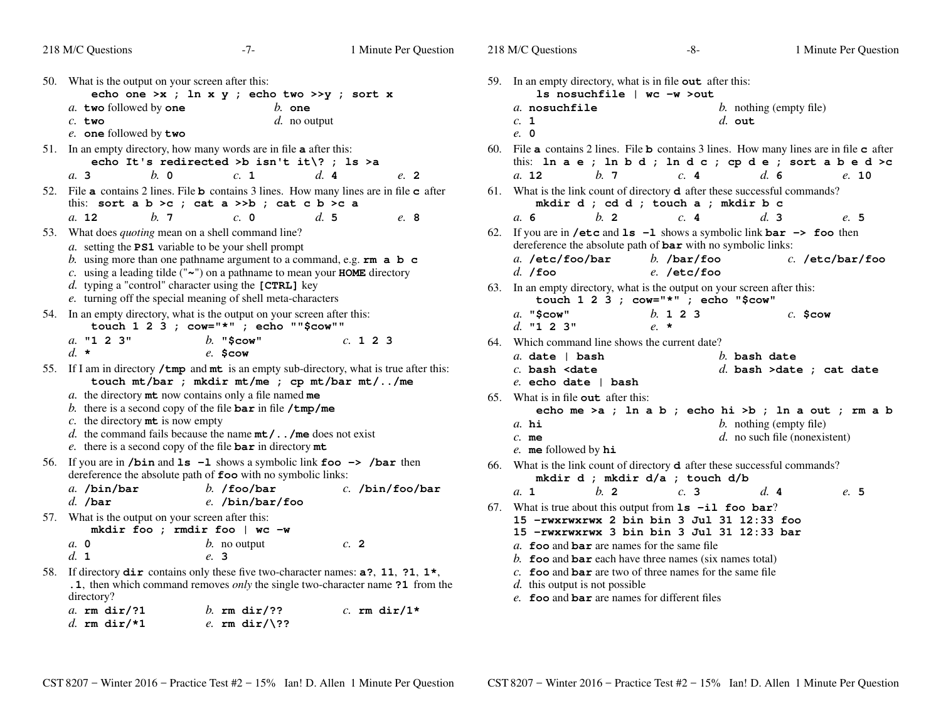| 218 M/C Questions                                                                                                 | $-7-$                                                                                                                                                                                                                                                                                                                    | 1 Minute Per Question | 218 M/C Questions                                                                                                                                                                             | $-8-$                                                                                                                                                                       | 1 Minute Per Questio                                                                                                                                  |
|-------------------------------------------------------------------------------------------------------------------|--------------------------------------------------------------------------------------------------------------------------------------------------------------------------------------------------------------------------------------------------------------------------------------------------------------------------|-----------------------|-----------------------------------------------------------------------------------------------------------------------------------------------------------------------------------------------|-----------------------------------------------------------------------------------------------------------------------------------------------------------------------------|-------------------------------------------------------------------------------------------------------------------------------------------------------|
| 50. What is the output on your screen after this:<br>a. two followed by one<br>$c.$ two<br>e. one followed by two | echo one >x ; ln x y ; echo two >>y ; sort x<br>$b.$ one<br>$d.$ no output                                                                                                                                                                                                                                               |                       | 1s nosuchfile   wc -w >out<br>a nosuchfile<br>c. 1<br>e. 0                                                                                                                                    | 59. In an empty directory, what is in file out after this:<br>$d.$ out                                                                                                      | <i>b</i> . nothing (empty file)                                                                                                                       |
|                                                                                                                   | 51. In an empty directory, how many words are in file <b>a</b> after this:<br>echo It's redirected >b isn't it\? ; ls >a                                                                                                                                                                                                 |                       |                                                                                                                                                                                               |                                                                                                                                                                             | 60. File a contains 2 lines. File b contains 3 lines. How many lines are in file c after<br>this: ln a e ; ln b d ; ln d c ; cp d e ; sort a b e d >c |
| $b. \, o$<br>a.3                                                                                                  | c. 1<br>52. File a contains 2 lines. File b contains 3 lines. How many lines are in file c after<br>this: sort a $b > c$ ; cat a $>> b$ ; cat c $b > c$ a                                                                                                                                                                | d.4<br>e. 2           | b.7<br>a. 12                                                                                                                                                                                  | c.4<br>61. What is the link count of directory <b>d</b> after these successful commands?<br>mkdir d ; cd d ; touch a ; mkdir b c                                            | d.6<br>e. 10                                                                                                                                          |
| a. 12<br>h.7                                                                                                      | c. 0<br>53. What does <i>quoting</i> mean on a shell command line?<br>a. setting the <b>PS1</b> variable to be your shell prompt<br>b. using more than one pathname argument to a command, e.g. $rm a b c$                                                                                                               | d.5<br>e. 8           | a. 6<br>h <sub>2</sub><br>a. /etc/foo/bar                                                                                                                                                     | c.4<br>62. If you are in /etc and $ls -1$ shows a symbolic link $bar \rightarrow$ foo then<br>dereference the absolute path of bar with no symbolic links:<br>$b.$ /bar/foo | d.3<br>e.5<br>$c.$ /etc/bar/foo                                                                                                                       |
|                                                                                                                   | c. using a leading tilde (" $\sim$ ") on a pathname to mean your <b>HOME</b> directory<br>$d.$ typing a "control" character using the [CTRL] key<br>e. turning off the special meaning of shell meta-characters                                                                                                          |                       | $d.$ /foo                                                                                                                                                                                     | e. /etc/foo<br>63. In an empty directory, what is the output on your screen after this:<br>touch $1 \t2 \t3$ ; cow="*"; echo "\$cow"                                        |                                                                                                                                                       |
|                                                                                                                   | 54. In an empty directory, what is the output on your screen after this:<br>touch 1 2 3 ; cow="*" ; echo ""\$cow""                                                                                                                                                                                                       |                       | $a.$ "\$cow"<br>d. "1 2 3"                                                                                                                                                                    | b. 1 2 3<br>$e. *$                                                                                                                                                          | $c.$ \$cow                                                                                                                                            |
| a. "1 2 3"<br>$d. \star$                                                                                          | $b.$ "\$cow"<br>$e.$ Scow<br>55. If I am in directory /tmp and mt is an empty sub-directory, what is true after this:                                                                                                                                                                                                    | c. 123                | 64. Which command line shows the current date?<br>$a.$ date   bash<br>$c.$ bash <date< td=""><td></td><td><math>h</math>. bash date<br/><math>d.</math> bash &gt;date ; cat date</td></date<> |                                                                                                                                                                             | $h$ . bash date<br>$d.$ bash >date ; cat date                                                                                                         |
| c. the directory $m$ t is now empty                                                                               | touch mt/bar ; mkdir mt/me ; cp mt/bar mt//me<br>$a$ . the directory $m$ t now contains only a file named $m$ e<br>b. there is a second copy of the file $\bar{b}$ ar in file /tmp/me<br>d. the command fails because the name $mt/$ /me does not exist<br>e. there is a second copy of the file $bar$ in directory $mt$ |                       | $e$ . echo date   bash<br>65. What is in file out after this:<br>$a$ . hi<br>$c.$ me<br>e. me followed by $hi$                                                                                |                                                                                                                                                                             | echo me >a ; ln a b ; echo hi >b ; ln a out ; rm a b<br>$b.$ nothing (empty file)<br>$d.$ no such file (nonexistent)                                  |
|                                                                                                                   | 56. If you are in /bin and $ls$ -1 shows a symbolic link foo -> /bar then<br>dereference the absolute path of foo with no symbolic links:                                                                                                                                                                                |                       |                                                                                                                                                                                               | 66. What is the link count of directory $d$ after these successful commands?<br>mkdir d ; mkdir d/a ; touch d/b                                                             |                                                                                                                                                       |
| a. $/bin/bar$<br>$d.$ /bar<br>57. What is the output on your screen after this:                                   | $b.$ /foo/bar<br>$e.$ /bin/bar/foo                                                                                                                                                                                                                                                                                       | $c.$ /bin/foo/bar     | $b$ . 2<br>a. 1                                                                                                                                                                               | c.3<br>67. What is true about this output from $ls$ -il foo bar?<br>15 - rwxrwxrwx 2 bin bin 3 Jul 31 12:33 foo                                                             | d.4<br>e.5                                                                                                                                            |
| a. 0<br>d. 1                                                                                                      | mkdir foo ; rmdir foo   wc -w<br>$b$ . no output<br>e. 3                                                                                                                                                                                                                                                                 | c. 2                  | a. foo and bar are names for the same file                                                                                                                                                    | 15 $-rwxrwxrwx$ 3 bin bin 3 Jul 31 12:33 bar<br>b. foo and bar each have three names (six names total)                                                                      |                                                                                                                                                       |
| directory?                                                                                                        | 58. If directory dir contains only these five two-character names: a?, 11, ?1, 1*,<br>.1, then which command removes <i>only</i> the single two-character name ?1 from the                                                                                                                                               |                       | $d$ , this output is not possible<br>e. foo and bar are names for different files                                                                                                             | c. foo and $bar$ are two of three names for the same file                                                                                                                   |                                                                                                                                                       |
| a. $rm \ din/21$<br>d. rm dir/*1                                                                                  | b. $rm \ dir/??$<br>e. rm dir/\??                                                                                                                                                                                                                                                                                        | c. rm dir/1*          |                                                                                                                                                                                               |                                                                                                                                                                             |                                                                                                                                                       |

 *b.* **<sup>123</sup>** *c.* **\$cow** nt date? *b.* **bash date** *d.* **bash >date ; cat date echo me >a ; ln a b ; echo hi >b ; ln a out ; rm a b** *b.* nothing (empty file) *d.* no such file (nonexistent) after these successful commands? touch d/b *b.* **<sup>2</sup>** *c.* **<sup>3</sup>** *d.* **<sup>4</sup>** *e.* **<sup>5</sup> ls -il foo bar**? **15 -rwxrwxrwx 2 bin bin 3 Jul 31 12:33 foo 15 -rwxrwxrwx 3 bin bin 3 Jul 31 12:33 bar**me file hear (six names total) nes for the same file ent files

Minute Per Question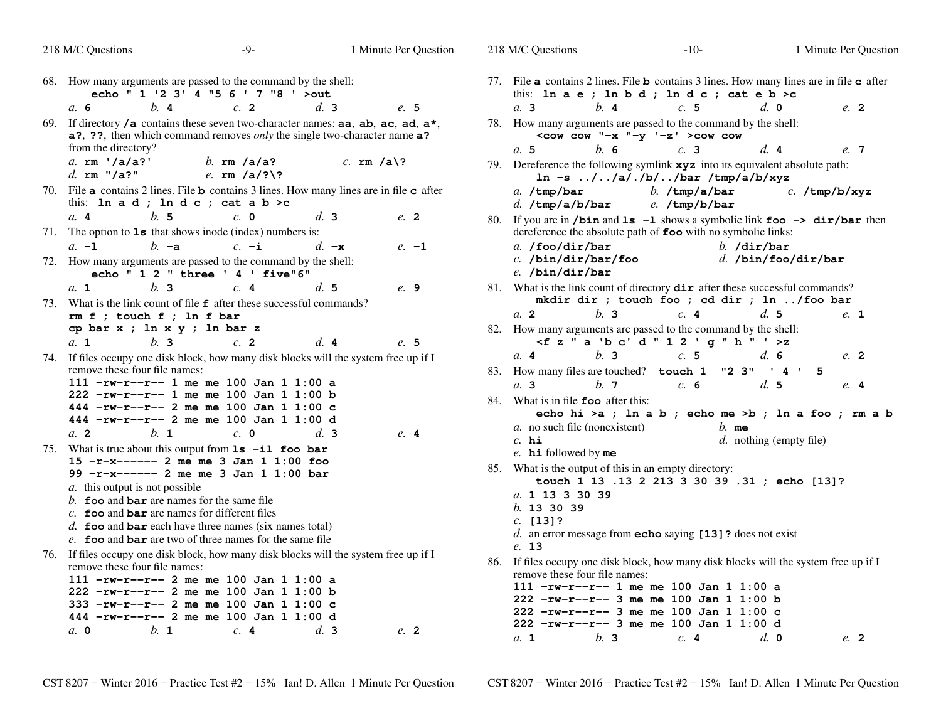|     | 218 M/C Questions                                                                                                                     | $-9-$                                                                              | 1 Minute Per Question |     | 218 M/C Questions                                                                                                                                                     | $-10-$                                               |                           | 1 Minute Per Question |
|-----|---------------------------------------------------------------------------------------------------------------------------------------|------------------------------------------------------------------------------------|-----------------------|-----|-----------------------------------------------------------------------------------------------------------------------------------------------------------------------|------------------------------------------------------|---------------------------|-----------------------|
| 68. | How many arguments are passed to the command by the shell:                                                                            | echo " 1 '2 3' 4 "5 6 ' 7 "8 ' >out                                                |                       |     | 77. File <b>a</b> contains 2 lines. File <b>b</b> contains 3 lines. How many lines are in file <b>c</b> after<br>this: In $a e$ ; In $b d$ ; In $d c$ ; cat $e b > c$ |                                                      |                           |                       |
|     | b.4<br>a, 6                                                                                                                           | c.2                                                                                | d.3<br>e.5            |     | $h$ . 4<br>a.3                                                                                                                                                        | c.5                                                  | d. 0                      | $e^{2}$               |
|     | 69. If directory $/a$ contains these seven two-character names: aa, ab, ac, ad, a*,<br>from the directory?                            | a?, ??, then which command removes <i>only</i> the single two-character name a?    |                       |     | 78. How many arguments are passed to the command by the shell:                                                                                                        | $\leq$ cow cow "-x "-y '-z' >cow cow                 |                           |                       |
|     | a. $rm' /a/a?$ '                                                                                                                      |                                                                                    | c. $rm/a\$ ?          |     | h.6<br>a.5                                                                                                                                                            | c.3                                                  | d.4                       | e. 7                  |
|     | d. $rm "/a?"$                                                                                                                         | b. $rm/a/a?$<br>e. $rm/a/?)$ ?                                                     |                       |     | 79. Dereference the following symlink xyz into its equivalent absolute path:                                                                                          | $\ln -s$ //a/./b//bar /tmp/a/b/xyz                   |                           |                       |
|     | 70. File a contains 2 lines. File b contains 3 lines. How many lines are in file c after<br>this: In $a d$ ; In $d c$ ; cat $a b > c$ |                                                                                    |                       |     | $a.$ /tmp/bar<br>$d.$ /tmp/a/b/bar                                                                                                                                    | $b.$ /tmp/a/bar<br>$e.$ /tmp/b/bar                   |                           | $c.$ /tmp/b/xyz       |
|     | b.5<br>a.4                                                                                                                            | c. 0                                                                               | d.3<br>e. 2           |     | 80. If you are in /bin and 1s -1 shows a symbolic link foo -> dir/bar then                                                                                            |                                                      |                           |                       |
|     | 71. The option to $1s$ that shows inode (index) numbers is:                                                                           |                                                                                    |                       |     | dereference the absolute path of foo with no symbolic links:                                                                                                          |                                                      |                           |                       |
|     | $h - a$<br>$a. -1$                                                                                                                    | $c. -i$                                                                            | $d. -x$<br>$e. -1$    |     | a. $/$ foo $/$ dir $/$ bar                                                                                                                                            |                                                      | $b.$ /dir/bar             |                       |
|     | 72. How many arguments are passed to the command by the shell:                                                                        | echo " 1 2 " three ' 4 ' five"6"                                                   |                       |     | $c.$ /bin/dir/bar/foo<br>$e.$ /bin/dir/bar                                                                                                                            |                                                      | $d.$ /bin/foo/dir/bar     |                       |
|     | h <sub>2</sub><br>a. 1                                                                                                                | c.4                                                                                | d.5<br>e. 9           |     | 81. What is the link count of directory dir after these successful commands?                                                                                          |                                                      |                           |                       |
|     | 73. What is the link count of file <b>f</b> after these successful commands?                                                          |                                                                                    |                       |     |                                                                                                                                                                       | mkdir dir ; touch foo ; cd dir ; ln /foo bar         |                           |                       |
|     | $rm f$ ; touch $f$ ; ln $f$ bar                                                                                                       |                                                                                    |                       |     | h <sub>2</sub><br>a. 2                                                                                                                                                | c.4                                                  | d.5                       | e. 1                  |
|     | cp bar x ; ln x y ; ln bar z<br>b.3<br>$a_{\cdot}$ 1                                                                                  | $c$ . 2                                                                            | d.4<br>e. 5           |     | 82. How many arguments are passed to the command by the shell:                                                                                                        | $\leq f$ z " a 'b c' d " 1 2 ' g " h " ' >z          |                           |                       |
|     | 74. If files occupy one disk block, how many disk blocks will the system free up if I                                                 |                                                                                    |                       |     | a.4<br>b.3                                                                                                                                                            | c.5                                                  | d.6                       | $e^{2}$               |
|     | remove these four file names:                                                                                                         |                                                                                    |                       |     | 83. How many files are touched? touch 1                                                                                                                               |                                                      | "2 3" ' 4 ' 5             |                       |
|     |                                                                                                                                       | 111 -rw-r--r-- 1 me me 100 Jan 1 1:00 a                                            |                       |     | b.7<br>a.3                                                                                                                                                            | c. 6                                                 | d.5                       | e.4                   |
|     |                                                                                                                                       | 222 -rw-r--r-- 1 me me 100 Jan 1 1:00 b<br>444 -rw-r--r-- 2 me me 100 Jan 1 1:00 c |                       | 84. | What is in file <b>foo</b> after this:                                                                                                                                |                                                      |                           |                       |
|     |                                                                                                                                       | 444 -rw-r--r-- 2 me me 100 Jan 1 1:00 d                                            |                       |     |                                                                                                                                                                       | echo hi >a ; ln a b ; echo me >b ; ln a foo ; rm a b |                           |                       |
|     | a.2<br>$h_{\cdot}$ 1                                                                                                                  | $c. \; 0$                                                                          | $d1$ 3<br>e.4         |     | a. no such file (nonexistent)                                                                                                                                         | $b.$ me                                              |                           |                       |
|     | 75. What is true about this output from $ls$ -il foo bar                                                                              |                                                                                    |                       |     | $c.$ hi                                                                                                                                                               |                                                      | $d.$ nothing (empty file) |                       |
|     |                                                                                                                                       | $15 - r - x - - - - 2$ me me 3 Jan 1 1:00 foo                                      |                       |     | $e$ . hi followed by me                                                                                                                                               |                                                      |                           |                       |
|     |                                                                                                                                       | 99 -r-x------ 2 me me 3 Jan 1 1:00 bar                                             |                       |     | 85. What is the output of this in an empty directory:                                                                                                                 |                                                      |                           |                       |
|     | a. this output is not possible                                                                                                        |                                                                                    |                       |     |                                                                                                                                                                       | touch 1 13 .13 2 213 3 30 39 .31 ; echo [13]?        |                           |                       |
|     | b. foo and bar are names for the same file                                                                                            |                                                                                    |                       |     | a. 1 13 3 30 39<br>$b.$ 13 30 39                                                                                                                                      |                                                      |                           |                       |
|     | $c$ . foo and bar are names for different files                                                                                       |                                                                                    |                       |     | $c.$ [13]?                                                                                                                                                            |                                                      |                           |                       |
|     |                                                                                                                                       | d. <b>foo</b> and <b>bar</b> each have three names (six names total)               |                       |     | $d.$ an error message from echo saying [13]? does not exist                                                                                                           |                                                      |                           |                       |
|     |                                                                                                                                       | e. foo and bar are two of three names for the same file                            |                       |     | e. 13                                                                                                                                                                 |                                                      |                           |                       |
|     | 76. If files occupy one disk block, how many disk blocks will the system free up if I<br>remove these four file names:                |                                                                                    |                       | 86. | If files occupy one disk block, how many disk blocks will the system free up if I<br>remove these four file names:                                                    |                                                      |                           |                       |
|     |                                                                                                                                       | $111 - rw-r-r-2$ me me 100 Jan 1 1:00 a                                            |                       |     | $111 - rw-r-r-1$ me me 100 Jan 1 1:00 a                                                                                                                               |                                                      |                           |                       |
|     |                                                                                                                                       | $222$ -rw-r--r-- 2 me me 100 Jan 1 1:00 b                                          |                       |     | $222$ -rw-r--r-- 3 me me 100 Jan 1 1:00 b                                                                                                                             |                                                      |                           |                       |
|     |                                                                                                                                       | 333 -rw-r--r-- 2 me me 100 Jan 1 1:00 c<br>444 -rw-r--r-- 2 me me 100 Jan 1 1:00 d |                       |     | $222 - rw-r--7 - 3$ me me 100 Jan 1 1:00 c                                                                                                                            |                                                      |                           |                       |
|     | b. 1<br>$a. \, 0$                                                                                                                     | c.4                                                                                | d.3<br>e. 2           |     | 222 -rw-r--r-- 3 me me 100 Jan 1 1:00 d                                                                                                                               |                                                      |                           |                       |
|     |                                                                                                                                       |                                                                                    |                       |     | b.3<br>a. 1                                                                                                                                                           | c.4                                                  | d. 0                      | e. 2                  |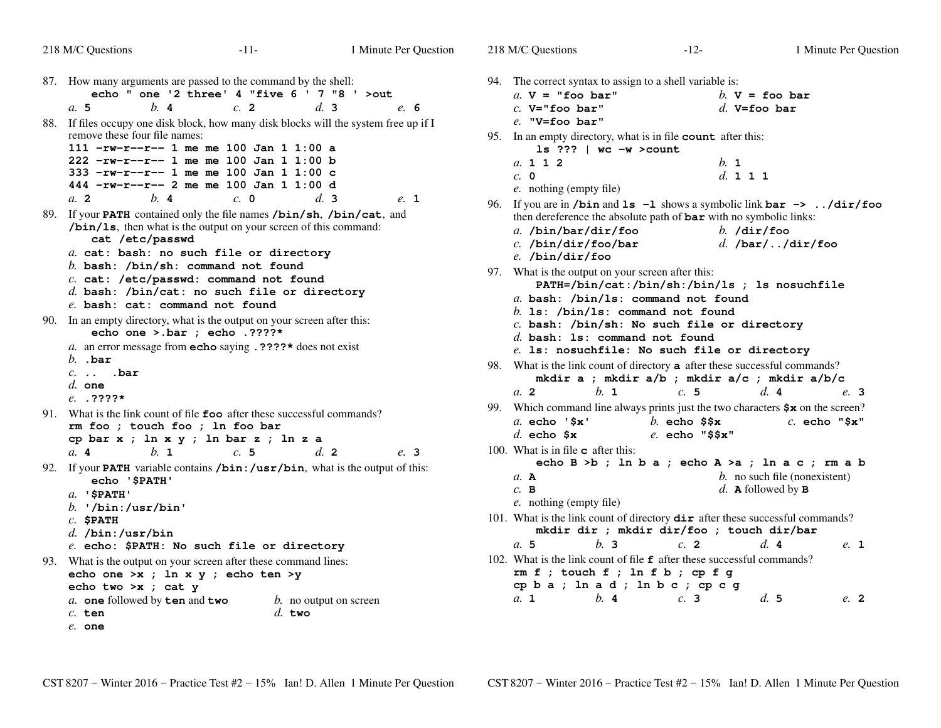```
218 M/C Questions-11- 1
                                                  Minute Per Question
87. How many arguments are passed to the command by the shell:
echo " one '2 three' 4 "five 6 ' 7 "8 ' >outa. 5 b. 4 c. 2 d. 3 e. 6
88. If files occupy one disk block, how many disk blocks will the system free up if I
    remove these four file names:
111 -rw-r--r-- 1 me me 100 Jan 1 1:00 a
222 -rw-r--r-- 1 me me 100 Jan 1 1:00 b
333 -rw-r--r-- 1 me me 100 Jan 1 1:00 c
444 -rw-r--r-- 2 me me 100 Jan 1 1:00 dd<sub>3</sub>a. 2 b. 4 c. 0 d. 3 e. 1
89. If your PATH contained only the file names /bin/sh, /bin/cat, and
    /bin/ls, then what is the output on your screen of this command:cat /etc/passwd
a. cat: bash: no such file or directoryb. bash: /bin/sh: command not found
c. cat: /etc/passwd: command not found
d. bash: /bin/cat: no such file or directorye. bash: cat: command not found
90. In an empty directory, what is the output on your screen after this:
        echo one >.bar ; echo .????*
a. an error message from echo saying .????* does not exist
    b. .bar
c. .. .bard. one
e. .????*
91. What is the link count of file foo after these successful commands?
    rm foo ; touch foo ; ln foo bar
cp bar x ; ln x y ; ln bar z ; ln z ad.2a. 4 b. 1 c. 5 d. 2 e. 3
92. If your PATH variable contains /bin:/usr/bin, what is the output of this:
        echo '$PATH'a. '$PATH'
b. '/bin:/usr/bin'c. $PATH
d. /bin:/usr/bin
e. echo: $PATH: No such file or directory
93. What is the output on your screen after these command lines:
    echo one >x ; ln x y ; echo ten >yecho two >x ; cat y
a. one followed by ten and two b. no output on screen
    c. ten d. two
    e. one218 M/C Questionss -12-1a. V="foo bar"c. V="foo bar"e. "V=foo bar"a. 112c. 0e. nothing (empty file)e. /bin/dir/fooa. 2a. echo '$x'd. echo $x100. What is in filec after this:
                                                                            a.A
c.Ba. 5a. 1
```
94. The correct syntax to assign to a shell variable is:  $h$  **V** = foo bar *d.* **V=foo bar** 95. In an empty directory, what is in file **count** after this: **ls ??? | wc -w >count** *b.* **<sup>1</sup>** *d.* **<sup>111</sup>** 96. If you are in **/bin** and **ls -l** shows a symbolic link **bar -> ../dir/foo** then dereference the absolute path of **bar** with no symbolic links: *a.* **/bin/bar/dir/foo** *b.* **/dir/foo** *c.* **/bin/dir/foo/bar** *d.* **/bar/../dir/foo** 97. What is the output on your screen after this: **PATH=/bin/cat:/bin/sh:/bin/ls ; ls nosuchfile***a.* **bash: /bin/ls: command not found***b.* **ls: /bin/ls: command not found** *c.* **bash: /bin/sh: No such file or directory***d.* **bash: ls: command not found** *e.* **ls: nosuchfile: No such file or directory** 98. What is the link count of directory**a** after these successful commands? **mkdir a ; mkdir a/b ; mkdir a/c ; mkdir a/b/c** *b.* **<sup>1</sup>** *c.* **<sup>5</sup>** *d.* **<sup>4</sup>** *e.* **<sup>3</sup>** 99. Which command line always prints just the two characters **\$x** on the screen? *b.* **echo \$\$x** *c.* **echo "\$x"** *e.* **echo "\$\$x" echo B >b ; ln b a ; echo A >a ; ln a c ; rm a b** *b.* no such file (nonexistent) *d. e.* nothing (empty file)**A** followed by **B**101. What is the link count of directory **dir** after these successful commands? **mkdir dir ; mkdir dir/foo ; touch dir/bar** *b.* **<sup>3</sup>** *c.* **<sup>2</sup>** *d.* **<sup>4</sup>** *e.* **<sup>1</sup>** 102. What is the link count of file**f** after these successful commands? **rm f ; touch f ; ln f b ; cp f g cp b a ; ln a d ; ln b c ; cp c g***b.* **<sup>4</sup>** *c.* **<sup>3</sup>** *d.* **<sup>5</sup>** *e.* **<sup>2</sup>**

Minute Per Question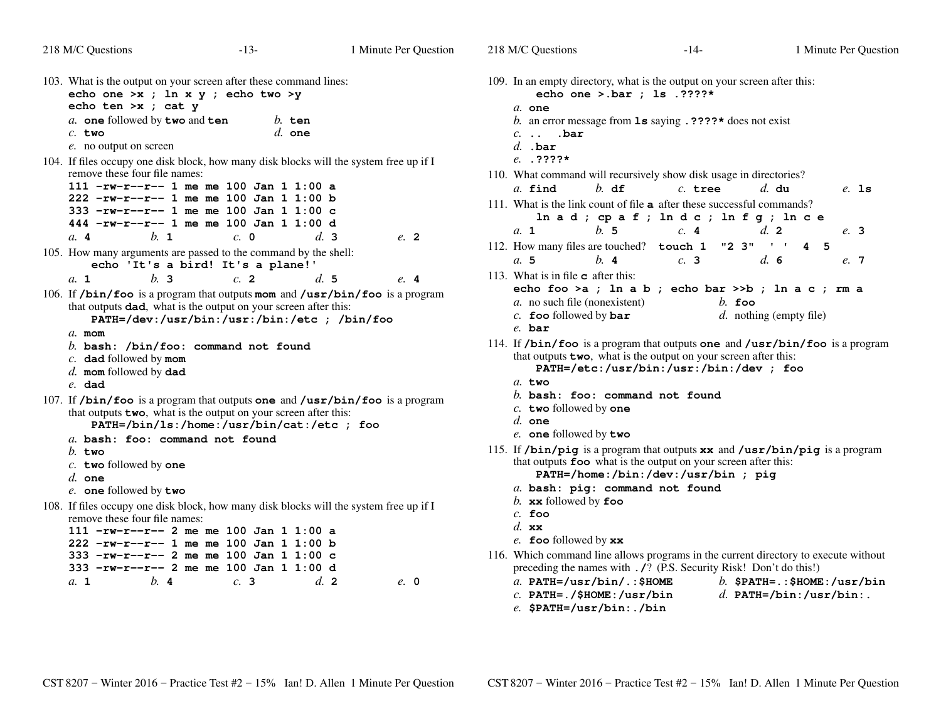| 218 M/C Questions                                                                                                       | $-13-$                                       | 1 Minute Per Question  | 218 M/C Q           |
|-------------------------------------------------------------------------------------------------------------------------|----------------------------------------------|------------------------|---------------------|
| 103. What is the output on your screen after these command lines:<br>echo one >x ; ln x y ; echo two >y                 |                                              |                        | 109. In an          |
| echo ten >x ; cat y                                                                                                     |                                              |                        | $a$ . or            |
| a. one followed by two and ten                                                                                          | $b.$ ten                                     |                        | <i>b</i> . an       |
| $c.$ two                                                                                                                | $d.$ one                                     |                        | $c.$ .              |
| e. no output on screen                                                                                                  |                                              |                        | $d.$ $\blacksquare$ |
| 104. If files occupy one disk block, how many disk blocks will the system free up if I<br>remove these four file names: |                                              |                        |                     |
| 111 -rw-r--r-- 1 me me 100 Jan 1 1:00 a                                                                                 |                                              |                        | 110. What           |
| 222 -rw-r--r-- 1 me me 100 Jan 1 1:00 b                                                                                 |                                              |                        | $a. \t f:$          |
| 333 -rw-r--r-- 1 me me 100 Jan 1 1:00 c                                                                                 |                                              |                        | 111. What           |
| 444 -rw-r--r-- 1 me me 100 Jan 1 1:00 d                                                                                 |                                              |                        |                     |
| a.4<br>$h_{\cdot}$ 1                                                                                                    | $c. \; \; \mathbf{0}$                        | d.3<br>e. 2            | a. 1                |
| 105. How many arguments are passed to the command by the shell:                                                         |                                              |                        | 112. How            |
|                                                                                                                         | echo 'It's a bird! It's a plane!'            |                        | a. 5                |
| h <sub>2</sub><br>a. 1                                                                                                  | $c1$ 2                                       | d.5<br>e. 4            | 113. What           |
| 106. If $/$ bin/foo is a program that outputs mom and $/$ usr $/$ bin/foo is a program                                  |                                              |                        | echc                |
| that outputs dad, what is the output on your screen after this:                                                         |                                              |                        | $a$ . no            |
|                                                                                                                         | PATH=/dev:/usr/bin:/usr:/bin:/etc ; /bin/foo |                        | $c$ . for           |
| $a$ . mom                                                                                                               |                                              |                        | e. ba               |
| b. bash: $\binom{b}{b}$ hin/foo: command not found                                                                      |                                              |                        | 114. If $/b$        |
| $c$ . dad followed by mom                                                                                               |                                              |                        | that o              |
| $d.$ mom followed by dad                                                                                                |                                              |                        |                     |
| $e$ . dad                                                                                                               |                                              |                        | $a$ . tr            |
| 107. If $/$ bin $/$ foo is a program that outputs one and $/$ usr $/$ bin $/$ foo is a program                          |                                              |                        | <i>b</i> . ba       |
| that outputs two, what is the output on your screen after this:                                                         |                                              |                        | $c$ . tr            |
|                                                                                                                         | PATH=/bin/ls:/home:/usr/bin/cat:/etc ; foo   |                        | $d.$ or             |
| a. bash: foo: command not found                                                                                         |                                              |                        | $e$ . $o$           |
| $h$ . two                                                                                                               |                                              |                        | 115. If $/b$        |
| c. two followed by one                                                                                                  |                                              |                        | that o              |
| $d.$ one                                                                                                                |                                              |                        |                     |
| e. one followed by two                                                                                                  |                                              |                        | a. ba               |
| 108. If files occupy one disk block, how many disk blocks will the system free up if I                                  |                                              |                        | $b$ . xx            |
| remove these four file names:                                                                                           |                                              |                        | $c$ . for<br>$d.$ x |
| 111 -rw-r--r-- 2 me me 100 Jan 1 1:00 a                                                                                 |                                              |                        | $e$ . for           |
| $222 - rw-r--1$ me me 100 Jan 1 1:00 b                                                                                  |                                              |                        |                     |
| 333 -rw-r--r-- 2 me me 100 Jan 1 1:00 c                                                                                 |                                              |                        | 116. Which          |
| 333 -rw-r--r-- 2 me me 100 Jan 1 1:00 d                                                                                 |                                              |                        | prece               |
| a. 1<br>b.4                                                                                                             | c.3                                          | d <sub>2</sub><br>e. 0 | a. P1               |

luestions  $-14-$  1 Minute Per Question empty directory, what is the output on your screen after this: **echo one >.bar ; ls .????\* one** an error message from **ls** saying **.????\*** does not exist **.. .bar .bar .????\*** command will recursively show disk usage in directories? **find** *b.* **df** *c.* **tree** *d.* **du** *e.* **ls** is the link count of file **<sup>a</sup>** after these successful commands? **ln a d ; cp a f ; ln d c ; ln f g ; ln c e** *b.* **<sup>5</sup>** *c.* **<sup>4</sup>** *d.* **<sup>2</sup>** *e.* **<sup>3</sup>** 112. How many files are touched? **touch 1 "2 3" '' 4 5** *b.* **<sup>4</sup>** *c.* **<sup>3</sup>** *d.* **<sup>6</sup>** *e.* **<sup>7</sup>** is in file **<sup>c</sup>** after this: **echo foo >a ; ln a b ; echo bar >>b ; ln a c ; rm a**o such file (nonexistent) *b.* **foo** followed by **bar** *d.* nothing (empty file) **oo** followed by **bar bar /bin/foo** is a program that outputs **one** and **/usr/bin/foo** is a programthat outputs **two**, what is the output on your screen after this: **PATH=/etc:/usr/bin:/usr:/bin:/dev ; foo two bash: foo: command not found two** followed by **one one one** followed by **two /bin/pig** is a program that outputs **xx** and **/usr/bin/pig** is a programthat outputs **foo** what is the output on your screen after this: **PATH=/home:/bin:/dev:/usr/bin ; pig bash: pig: command not found xx** followed by **foo foo xx foo** followed by **xx** 116. Which command line allows programs in the current directory to execute without preceding the names with **./**? (P.S. Security Risk! Don't do this!) **PATH=/usr/bin/.:\$HOME** *b.* **\$PATH=.:\$HOME:/usr/bin** *c.* **PATH=./\$HOME:/usr/bin***d.* **PATH=/bin:/usr/bin:.**

*e.* **\$PATH=/usr/bin:./bin**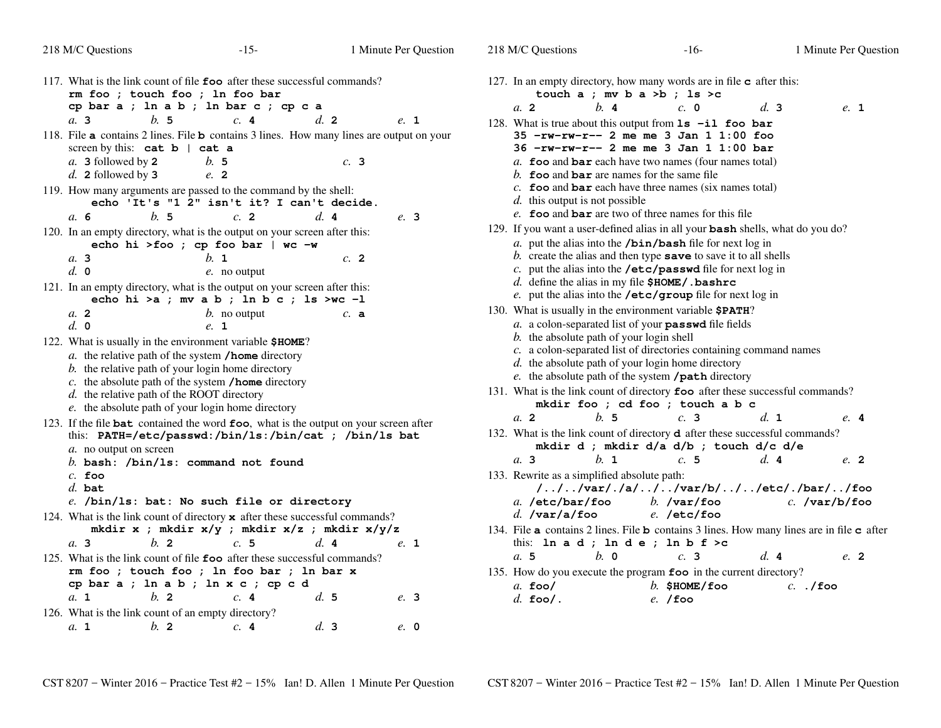## 218 M/C Questions

| 117. What is the link count of file foo after these successful commands?<br>rm foo ; touch foo ; ln foo bar                                                |                         |                    |      |
|------------------------------------------------------------------------------------------------------------------------------------------------------------|-------------------------|--------------------|------|
| cp bar a ; ln a b ; ln bar c ; cp c a<br>b.5<br>a, 3                                                                                                       | c.4                     | $d_{\mathbf{z}}$ 2 | e. 1 |
| 118. File a contains 2 lines. File b contains 3 lines. How many lines are output on your                                                                   |                         |                    |      |
| screen by this: $cat b   cat a$                                                                                                                            |                         |                    |      |
| $a$ . 3 followed by 2                                                                                                                                      | b. 5                    | c.3                |      |
| $d.$ 2 followed by 3<br>119. How many arguments are passed to the command by the shell:                                                                    | e. 2                    |                    |      |
| echo 'It's "1 2" isn't it? I can't decide.                                                                                                                 |                         |                    |      |
| b.5<br>a.6                                                                                                                                                 | c.2                     | d.4                | e. 3 |
| 120. In an empty directory, what is the output on your screen after this:<br>echo hi >foo ; cp foo bar   wc -w                                             |                         |                    |      |
| a. 3                                                                                                                                                       | $h_{\cdot}$ 1           | $c$ . 2            |      |
| $d_{\cdot}$ 0                                                                                                                                              | e. no output            |                    |      |
| 121. In an empty directory, what is the output on your screen after this:<br>echo hi > a ; mv a b ; ln b c ; ls > wc -1                                    |                         |                    |      |
| a <sub>2</sub><br>d. 0                                                                                                                                     | $b$ . no output<br>e. 1 | c. a               |      |
| 122. What is usually in the environment variable \$HOME?                                                                                                   |                         |                    |      |
| a. the relative path of the system / home directory                                                                                                        |                         |                    |      |
| b. the relative path of your login home directory                                                                                                          |                         |                    |      |
| $c$ . the absolute path of the system /home directory                                                                                                      |                         |                    |      |
| $d.$ the relative path of the ROOT directory<br>e. the absolute path of your login home directory                                                          |                         |                    |      |
| 123. If the file <b>bat</b> contained the word <b>foo</b> , what is the output on your screen after                                                        |                         |                    |      |
| this: PATH=/etc/passwd:/bin/ls:/bin/cat ; /bin/ls bat                                                                                                      |                         |                    |      |
| a. no output on screen                                                                                                                                     |                         |                    |      |
| b. bash: $\binom{b in}{1s}$ : command not found<br>$c.$ foo                                                                                                |                         |                    |      |
| $d.$ bat                                                                                                                                                   |                         |                    |      |
| e. /bin/ls: bat: No such file or directory                                                                                                                 |                         |                    |      |
| 124. What is the link count of directory $\boldsymbol{\mathsf{x}}$ after these successful commands?<br>mkdir x ; mkdir $x/y$ ; mkdir $x/z$ ; mkdir $x/y/z$ |                         |                    |      |
| $h$ 2<br>a. 3                                                                                                                                              | c.5                     | d.4                | e. 1 |
| 125. What is the link count of file foo after these successful commands?<br>rm foo ; touch foo ; ln foo bar ; ln bar x                                     |                         |                    |      |
| cp bar a ; ln a b ; ln x c ; cp c d                                                                                                                        |                         |                    |      |
| $h$ 2<br>a. 1                                                                                                                                              | c.4                     | $d_{\rm c}$ 5      | e. 3 |
| 126. What is the link count of an empty directory?                                                                                                         |                         |                    |      |
| $h$ 2<br>a. 1                                                                                                                                              | c.4                     | d.3                | e. 0 |

| 127. In an empty directory, how many words are in file c after this:<br>touch $a$ ; mv $b$ $a$ > $b$ ; $1s$ > $c$                                                                                                                                                                                                                                                                                                             |                             |                 |      |
|-------------------------------------------------------------------------------------------------------------------------------------------------------------------------------------------------------------------------------------------------------------------------------------------------------------------------------------------------------------------------------------------------------------------------------|-----------------------------|-----------------|------|
| h.4<br>a <sub>2</sub>                                                                                                                                                                                                                                                                                                                                                                                                         | $c. \; 0$                   | d.3             | e. 1 |
| 128. What is true about this output from $ls$ -il foo bar<br>$35 - rw-rw-r-2$ me me 3 Jan 1 1:00 foo<br>$36 - rw-rw-r-2$ me me $3$ Jan $1$ 1:00 bar<br>a. foo and $bar$ each have two names (four names total)<br>b. foo and bar are names for the same file<br>$c$ . foo and bar each have three names (six names total)<br>$d$ . this output is not possible<br>e. foo and bar are two of three names for this file         |                             |                 |      |
| 129. If you want a user-defined alias in all your bash shells, what do you do?<br>$a$ . put the alias into the /bin/bash file for next log in<br>b. create the alias and then type save to save it to all shells<br>$c$ . put the alias into the /etc/passwd file for next log in<br>$d.$ define the alias in my file $$HOME/$ . bashrc<br>e. put the alias into the /etc/group file for next log in                          |                             |                 |      |
| 130. What is usually in the environment variable \$PATH?<br>a. a colon-separated list of your passwd file fields<br>b. the absolute path of your login shell<br>c. a colon-separated list of directories containing command names<br>d. the absolute path of your login home directory<br>e. the absolute path of the system /path directory<br>131. What is the link count of directory foo after these successful commands? |                             |                 |      |
| mkdir foo ; cd foo ; touch a b c<br>b. 5<br>a <sub>2</sub>                                                                                                                                                                                                                                                                                                                                                                    | c.3                         | d. 1            |      |
| 132. What is the link count of directory <b>d</b> after these successful commands?<br>mkdir d ; mkdir d/a d/b ; touch d/c d/e                                                                                                                                                                                                                                                                                                 |                             |                 | e. 4 |
| $h_{\cdot}$ 1<br>a. 3<br>133. Rewrite as a simplified absolute path:                                                                                                                                                                                                                                                                                                                                                          | c.5                         | d.4             | e. 2 |
| ///var/./a///var/b///etc/./bar//foo<br>a. $/etc/bar/foo$ b. $/var/foo$<br>$d.$ /var/a/foo                                                                                                                                                                                                                                                                                                                                     | e. /etc/foo                 | $c.$ /var/b/foo |      |
| 134. File a contains 2 lines. File b contains 3 lines. How many lines are in file c after<br>this: $\ln a d$ ; $\ln d e$ ; $\ln b f > c$                                                                                                                                                                                                                                                                                      |                             |                 |      |
| $h$ . 0<br>a. 5                                                                                                                                                                                                                                                                                                                                                                                                               | c.3                         | d.4             | e. 2 |
| 135. How do you execute the program foo in the current directory?<br>$a.$ fool<br>$d.$ foo/.                                                                                                                                                                                                                                                                                                                                  | $b.$ SHOME/foo<br>$e.$ /foo | $c.$ ./foo      |      |
|                                                                                                                                                                                                                                                                                                                                                                                                                               |                             |                 |      |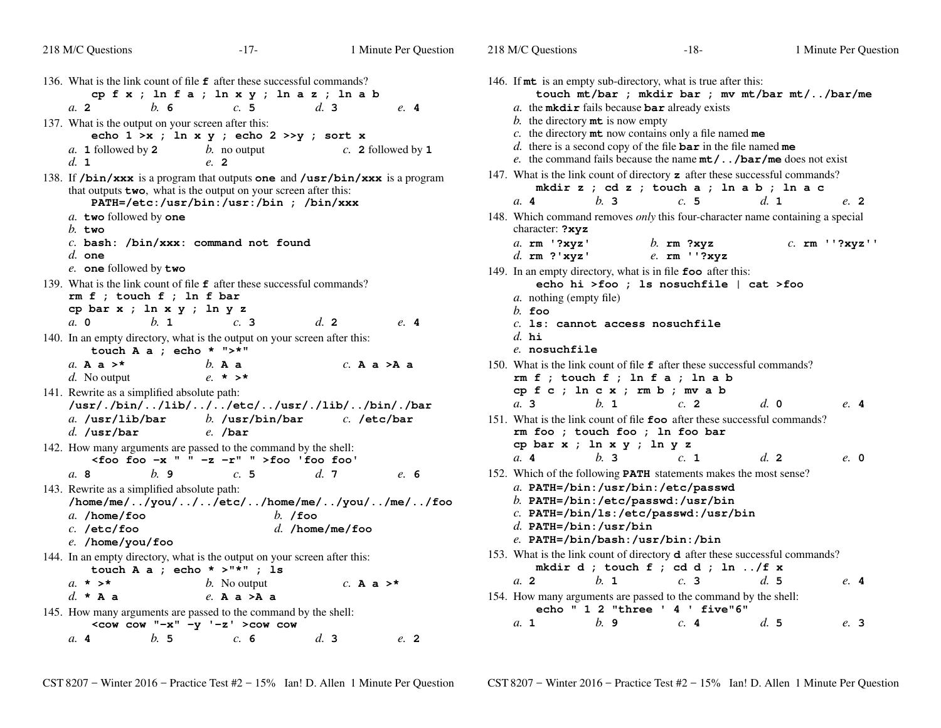| 218 M/C Questions                                                                                                                                                                                                                                                                        | $-17-$                                                                                                             | 1 Minute Per Question                                                                    | 218 M/C Questions                                                                                                                                                                                                                      | $-18-$                                                                                                                                                                                                                                                       | 1 Minute Per Question                           |
|------------------------------------------------------------------------------------------------------------------------------------------------------------------------------------------------------------------------------------------------------------------------------------------|--------------------------------------------------------------------------------------------------------------------|------------------------------------------------------------------------------------------|----------------------------------------------------------------------------------------------------------------------------------------------------------------------------------------------------------------------------------------|--------------------------------------------------------------------------------------------------------------------------------------------------------------------------------------------------------------------------------------------------------------|-------------------------------------------------|
| 136. What is the link count of file <b>f</b> after these successful commands?<br>a. 2<br>b.6<br>137. What is the output on your screen after this:<br>a. 1 followed by 2<br>d. 1                                                                                                         | cpfx; lnfa; lnxy; lnaz; lnab<br>c.5<br>echo $1 \gt x$ ; ln x y; echo $2 \gt y$ ; sort x<br>$b$ . no output<br>e. 2 | d.3<br>e.4<br>$c$ . 2 followed by 1                                                      | 146. If mt is an empty sub-directory, what is true after this:<br>b. the directory $m\text{t}$ is now empty                                                                                                                            | $a$ . the mkdir fails because bar already exists<br>$c$ . the directory $m$ t now contains only a file named $me$<br>$d.$ there is a second copy of the file $bar$ in the file named me<br>e. the command fails because the name $mt$ /bar/me does not exist | touch mt/bar ; mkdir bar ; mv mt/bar mt//bar/me |
| 138. If $/bin/xxx$ is a program that outputs one and $/usr/bin/xxx$ is a program<br>that outputs <b>two</b> , what is the output on your screen after this:<br>a. two followed by one<br>$b.$ two<br>$c.$ bash: /bin/xxx: command not found<br>$d.$ one                                  | PATH=/etc:/usr/bin:/usr:/bin ; /bin/xxx                                                                            |                                                                                          | 147. What is the link count of directory z after these successful commands?<br>a.4<br>b.3<br>148. Which command removes <i>only</i> this four-character name containing a special<br>character: ?xyz<br>a. rm '?xyz'<br>d. $rm$ ?'xyz' | mkdir z ; cd z ; touch a ; ln a b ; ln a c<br>c.5<br>$b$ . rm ?xyz<br>$e$ . rm $'$ '?xyz                                                                                                                                                                     | d. 1<br>e. 2<br>$c.$ rm $'$ ?xyz''              |
| e. one followed by two<br>139. What is the link count of file <b>f</b> after these successful commands?<br>$rm f$ ; touch $f$ ; ln $f$ bar<br>cp bar $x$ ; $\ln x$ $y$ ; $\ln y$ $z$<br>$h.$ 1<br>$a. \, 0$<br>140. In an empty directory, what is the output on your screen after this: | c.3                                                                                                                | d.2<br>e.4                                                                               | 149. In an empty directory, what is in file foo after this:<br><i>a</i> . nothing (empty file)<br>$h$ . foo<br>$c.$ 1s: cannot access nosuchfile<br>$d.$ hi                                                                            | echo hi >foo ; ls nosuchfile   cat >foo                                                                                                                                                                                                                      |                                                 |
| touch A a ; echo * $"$ >*"<br>a. A a $>^*$<br>$d.$ No output                                                                                                                                                                                                                             | $b.$ A a<br>$e. * > *$                                                                                             | $c.$ A a $>$ A a                                                                         | e. nosuchfile<br>150. What is the link count of file <b>f</b> after these successful commands?                                                                                                                                         | $rm f$ ; touch $f$ ; ln $fa$ ; ln $a$ $b$                                                                                                                                                                                                                    |                                                 |
| 141. Rewrite as a simplified absolute path:<br>/usr/./bin//lib///etc//usr/./lib//bin/./bar<br>a. $\sqrt{usr/lib/bar}$<br>$d.$ /usr/bar                                                                                                                                                   | $b.$ /usr/bin/bar<br>$e.$ /bar                                                                                     | $c.$ /etc/bar                                                                            | cp f c ; ln c x ; rm b ; mv a b<br>$a1$ 3<br>$h_{\cdot}$ 1<br>151. What is the link count of file foo after these successful commands?<br>rm foo ; touch foo ; ln foo bar                                                              | c.2                                                                                                                                                                                                                                                          | $d_{\cdot}$ 0<br>e.4                            |
| 142. How many arguments are passed to the command by the shell:                                                                                                                                                                                                                          | $\leq$ foo foo -x " " -z -r" " >foo 'foo foo'                                                                      |                                                                                          | cp bar $x$ ; $\ln x$ $y$ ; $\ln y$ $z$<br>a.4<br>b.3                                                                                                                                                                                   | c. 1                                                                                                                                                                                                                                                         | d.2<br>$e$ , 0                                  |
| a.8<br>b.9<br>143. Rewrite as a simplified absolute path:<br>a. /home/foo<br>$c.$ /etc/foo<br>$e.$ /home/you/foo                                                                                                                                                                         | c.5<br>$b.$ /foo                                                                                                   | $d_{\cdot}$ 7<br>e. 6<br>/home/me//you///etc//home/me//you//me//foo<br>$d.$ /home/me/foo | 152. Which of the following PATH statements makes the most sense?<br>d. PATH=/bin:/usr/bin<br>$e.$ PATH=/bin/bash:/usr/bin:/bin                                                                                                        | a. PATH=/bin:/usr/bin:/etc/passwd<br>$b.$ PATH=/bin:/etc/passwd:/usr/bin<br>$c.$ PATH=/bin/ls:/etc/passwd:/usr/bin                                                                                                                                           |                                                 |
| 144. In an empty directory, what is the output on your screen after this:<br>touch A a ; echo * >"*" ; is                                                                                                                                                                                |                                                                                                                    |                                                                                          | 153. What is the link count of directory <b>d</b> after these successful commands?                                                                                                                                                     | mkdir d ; touch f ; cd d ; ln /f x                                                                                                                                                                                                                           |                                                 |
| a, $\star$ > $\star$<br>d. * A a<br>145. How many arguments are passed to the command by the shell:                                                                                                                                                                                      | <i>b</i> . No output<br>$e.$ A a $>$ A a                                                                           | $c.$ A a $>$ *                                                                           | a <sub>2</sub><br>$h_{\perp}$ 1<br>154. How many arguments are passed to the command by the shell:                                                                                                                                     | c.3<br>echo " 1 2 "three ' 4 ' five"6"                                                                                                                                                                                                                       | $d_{\cdot}$ 5<br>$e$ , 4                        |
| b.5<br>a.4                                                                                                                                                                                                                                                                               | $\leq$ cow cow "-x" -y '-z' >cow cow<br>c. 6                                                                       | d.3<br>$e$ . 2                                                                           | $h$ . 9<br>a. 1                                                                                                                                                                                                                        | c.4                                                                                                                                                                                                                                                          | d.5<br>e. 3                                     |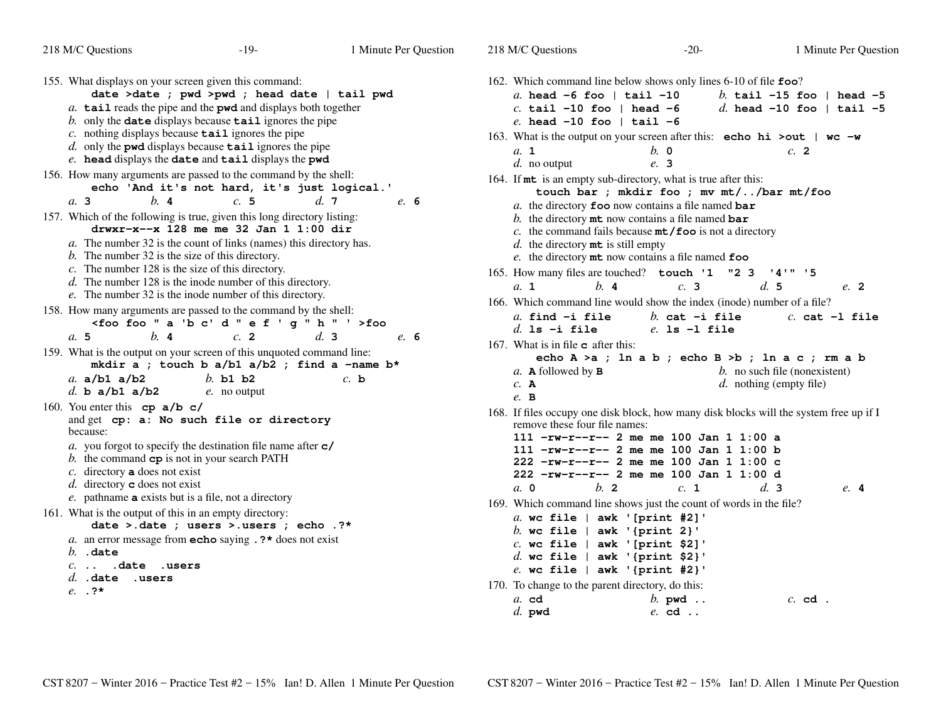| 218 M/C Questions                                                                                                                                                                                                                     | $-19-$                                                                                                                                                                                                                                                                                                                                                                                          | 1 Minute Per Question | 218 M/C Questions                                                                                                                                                                                                                                                                                                              | $-20-$                                                                                                                                                                           | 1 Minute Per Question                                                  |
|---------------------------------------------------------------------------------------------------------------------------------------------------------------------------------------------------------------------------------------|-------------------------------------------------------------------------------------------------------------------------------------------------------------------------------------------------------------------------------------------------------------------------------------------------------------------------------------------------------------------------------------------------|-----------------------|--------------------------------------------------------------------------------------------------------------------------------------------------------------------------------------------------------------------------------------------------------------------------------------------------------------------------------|----------------------------------------------------------------------------------------------------------------------------------------------------------------------------------|------------------------------------------------------------------------|
| 155. What displays on your screen given this command:                                                                                                                                                                                 | date >date ; pwd >pwd ; head date   tail pwd<br>$a$ . tail reads the pipe and the pwd and displays both together<br>$b$ . only the <b>date</b> displays because $\text{tail}$ ignores the pipe<br>$c$ . nothing displays because $\texttt{tail}$ ignores the pipe<br>$d.$ only the pwd displays because $\texttt{tail}$ ignores the pipe<br>e. head displays the date and tail displays the pwd |                       | 162. Which command line below shows only lines 6-10 of file foo?<br>a. head $-6$ foo   tail $-10$<br>c. tail -10 foo   head -6<br>e. head $-10$ foo   tail $-6$<br>163. What is the output on your screen after this: echo hi >out   wc -w<br>a. 1                                                                             | $b.$ 0                                                                                                                                                                           | b. tail $-15$ foo   head $-5$<br>d. head $-10$ foo   tail $-5$<br>c. 2 |
| 156. How many arguments are passed to the command by the shell:<br>b.4<br>$a$ , 3                                                                                                                                                     | echo 'And it's not hard, it's just logical.'<br>c.5                                                                                                                                                                                                                                                                                                                                             | d.7<br>e. 6           | $d.$ no output<br>164. If mt is an empty sub-directory, what is true after this:                                                                                                                                                                                                                                               | e. 3<br>touch bar ; mkdir foo ; mv mt//bar mt/foo<br>a. the directory $\bf{f}$ co now contains a file named bar                                                                  |                                                                        |
| 157. Which of the following is true, given this long directory listing:<br>$b$ . The number 32 is the size of this directory.<br>c. The number $128$ is the size of this directory.                                                   | drwxr-x--x 128 me me 32 Jan 1 1:00 dir<br>a. The number 32 is the count of links (names) this directory has.<br>$d$ . The number 128 is the inode number of this directory.<br>e. The number 32 is the inode number of this directory.                                                                                                                                                          |                       | $d.$ the directory $m$ t is still empty<br>165. How many files are touched? touch '1 "2 3<br>a. 1<br>b.4                                                                                                                                                                                                                       | b. the directory $m$ t now contains a file named bar<br>c. the command fails because $mt/$ foo is not a directory<br>e. the directory mt now contains a file named foo<br>c.3    | 141" '5<br>d.5<br>$e$ 2                                                |
| 158. How many arguments are passed to the command by the shell:<br>b.4<br>a.5                                                                                                                                                         | <foo "="" '="" 'b="" a="" c'="" d="" e="" f="" foo="" g="" h="">foo<br/>c.2</foo>                                                                                                                                                                                                                                                                                                               | d.3<br>e. 6           | 166. Which command line would show the index (inode) number of a file?<br>$a$ . find $-i$ file<br>$d.$ 1s $-i$ file                                                                                                                                                                                                            | $b.$ cat $-i$ file<br>$e.$ ls $-1$ file                                                                                                                                          | $c.$ cat $-1$ file                                                     |
| 159. What is the output on your screen of this unquoted command line:<br>a. $a/b1$ a/b2<br>d. b $a/b1$ $a/b2$                                                                                                                         | mkdir a ; touch b a/b1 a/b2 ; find a -name b*<br>$b.$ b1 b2<br>$e$ . no output                                                                                                                                                                                                                                                                                                                  | $c$ , b               | 167. What is in file $\sigma$ after this:<br>$a$ . <b>A</b> followed by <b>B</b><br>$c.$ A<br>$e$ . B                                                                                                                                                                                                                          | echo $A > a$ ; ln a b; echo $B > b$ ; ln a c; rm a b                                                                                                                             | $b$ . no such file (nonexistent)<br>$d.$ nothing (empty file)          |
| 160. You enter this $cp \ a/b \ c/$<br>because:<br>b. the command $cp$ is not in your search PATH<br>c. directory $a$ does not exist<br>$d.$ directory <b>c</b> does not exist<br>e. pathname a exists but is a file, not a directory | and get cp: a: No such file or directory<br>a. you forgot to specify the destination file name after $c$ /                                                                                                                                                                                                                                                                                      |                       | 168. If files occupy one disk block, how many disk blocks will the system free up if I<br>remove these four file names:<br>a, 0<br>b <sub>2</sub>                                                                                                                                                                              | $111 - rw-r-r-2$ me me 100 Jan 1 1:00 a<br>$111 - rw-r-r-2$ me me 100 Jan 1 1:00 b<br>222 -rw-r--r-- 2 me me 100 Jan 1 1:00 c<br>222 -rw-r--r-- 2 me me 100 Jan 1 1:00 d<br>c. 1 | d.3<br>e.4                                                             |
| 161. What is the output of this in an empty directory:<br>$b.$ . date<br>$c.$ $.$ date $.$ users<br>$d.$ . date . users<br>$e. . ?*$                                                                                                  | date >.date ; users >.users ; echo .?*<br>a. an error message from <b>echo</b> saying $\cdot$ ?* does not exist                                                                                                                                                                                                                                                                                 |                       | 169. Which command line shows just the count of words in the file?<br>a. wc file $ $ awk '[print #2]'<br>b. wc file $ $ awk '{print 2}'<br>$c.$ wc file   awk '[print \$2]'<br>d. wc file $ $ awk '{print \$2}'<br>$e.$ wc file   awk '{print #2}'<br>170. To change to the parent directory, do this:<br>$a$ . cd<br>$d.$ pwd | $b.$ pwd<br>$e.$ cd $\ldots$                                                                                                                                                     | $c.$ cd.                                                               |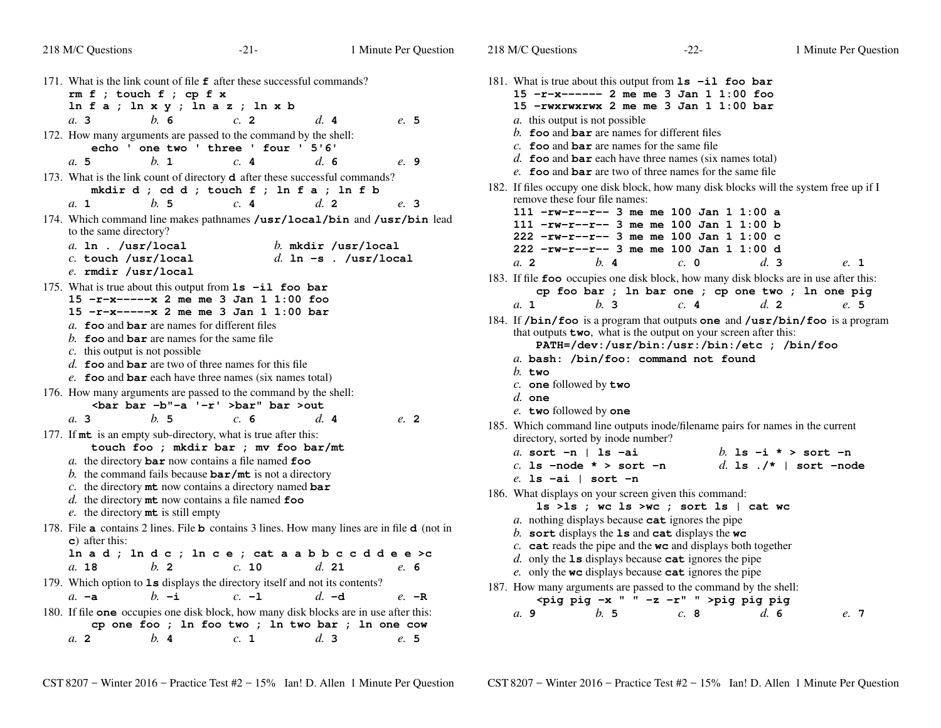218 M/C Questions

|  | 171. What is the link count of file f after these successful commands?<br>$rm f$ ; touch $f$ ; cp $f$ x<br>$\ln f$ a ; $\ln x$ y ; $\ln az$ ; $\ln xb$ |         |  |
|--|--------------------------------------------------------------------------------------------------------------------------------------------------------|---------|--|
|  | b.6<br>d.4<br>a. 3<br>$c$ . 2                                                                                                                          | e. 5    |  |
|  | 172. How many arguments are passed to the command by the shell:<br>echo ' one two ' three ' four ' 5'6'                                                |         |  |
|  | $h_{\cdot}$ 1<br>$d_{\alpha}$ 6<br>$c_{\rm A}$ 4<br>a. 5                                                                                               | e. 9    |  |
|  | 173. What is the link count of directory <b>d</b> after these successful commands?<br>mkdir d ; cd d ; touch f ; ln f a ; ln f b                       |         |  |
|  | $h_{\cdot}$ 5<br>$d_{\cdot}$ 2<br>$a_{\cdot}$ 1<br>c.4                                                                                                 | e. 3    |  |
|  | 174. Which command line makes pathnames /usr/local/bin and /usr/bin lead<br>to the same directory?                                                     |         |  |
|  | $a.$ ln . /usr/local<br>$b.$ mkdir /usr/local                                                                                                          |         |  |
|  | $c.$ touch /usr/local<br>d. In $-s$ . /usr/local<br>e. rmdir /usr/local                                                                                |         |  |
|  | 175. What is true about this output from 1s -il foo bar                                                                                                |         |  |
|  | $15 - r - x - - - -x$ 2 me me 3 Jan 1 1:00 foo                                                                                                         |         |  |
|  | $15 - r - x - - -x$ 2 me me 3 Jan 1 1:00 bar                                                                                                           |         |  |
|  | a. foo and bar are names for different files<br>b. foo and bar are names for the same file                                                             |         |  |
|  | $c$ . this output is not possible                                                                                                                      |         |  |
|  | $d.$ foo and bar are two of three names for this file                                                                                                  |         |  |
|  | $e$ . foo and bar each have three names (six names total)                                                                                              |         |  |
|  | 176. How many arguments are passed to the command by the shell:<br><bar '-r'="" -b"-a="" bar="">bar" bar &gt;out</bar>                                 |         |  |
|  | $d_{\mathbf{I}}$ 4<br>$a1$ 3<br>b. 5<br>c.6                                                                                                            | $e$ , 2 |  |
|  | 177. If mt is an empty sub-directory, what is true after this:<br>touch foo ; mkdir bar ; mv foo bar/mt                                                |         |  |
|  | a. the directory $bar$ now contains a file named $f$ oo                                                                                                |         |  |
|  | b. the command fails because $bar/mt$ is not a directory                                                                                               |         |  |
|  | c. the directory $m$ t now contains a directory named bar<br>d. the directory $m$ t now contains a file named foo                                      |         |  |
|  | e. the directory mt is still empty                                                                                                                     |         |  |
|  | 178. File a contains 2 lines. File b contains 3 lines. How many lines are in file d (not in<br>$\bf c$ ) after this:                                   |         |  |
|  | In a d; In d c; In c e; cat a a b b c c d d e e >c                                                                                                     |         |  |
|  | $d.$ 21<br>a. 18<br>b. 2<br>c. 10                                                                                                                      | e. 6    |  |
|  | 179. Which option to 1s displays the directory itself and not its contents?                                                                            |         |  |
|  | $b. -i$<br>$c. -1$<br>$d. -d$<br>$a. -a$                                                                                                               | $e. -R$ |  |
|  | 180. If file one occupies one disk block, how many disk blocks are in use after this:<br>cp one foo ; ln foo two ; ln two bar ; ln one cow             |         |  |
|  | d.3<br>a.2<br>b.4<br>c. 1                                                                                                                              | e.5     |  |
|  |                                                                                                                                                        |         |  |

181. What is true about this output from **ls -il foo bar 15 -r-x------ 2 me me 3 Jan 1 1:00 foo 15 -rwxrwxrwx 2 me me 3 Jan 1 1:00 bar***a.* this output is not possible *b.* **foo** and **bar** are names for different files *c.* **foo** and **bar** are names for the same file *d.* **foo** and **bar** each have three names (six names total) *e.* **foo** and **bar** are two of three names for the same file 182. If files occupy one disk block, how many disk blocks will the system free up if I remove these four file names: **111 -rw-r--r-- 3 me me 100 Jan 1 1:00 a 111 -rw-r--r-- 3 me me 100 Jan 1 1:00 b 222 -rw-r--r-- 3 me me 100 Jan 1 1:00 c 222 -rw-r--r-- 3 me me 100 Jan 1 1:00 d** $d.3$ *a.* **2** *b.* **<sup>4</sup>** *c.* **<sup>0</sup>** *d.* **<sup>3</sup>** *e.* **<sup>1</sup>** 183. If file **foo** occupies one disk block, how many disk blocks are in use after this: **cp foo bar ; ln bar one ; cp one two ; ln one pig** $e.5$ *a.* **1** *b.* **<sup>3</sup>** *c.* **<sup>4</sup>** *d.* **<sup>2</sup>** *e.* **<sup>5</sup>** 184. If **/bin/foo** is a program that outputs **one** and **/usr/bin/foo** is a programthat outputs **two**, what is the output on your screen after this: **PATH=/dev:/usr/bin:/usr:/bin:/etc ; /bin/foo***a.* **bash: /bin/foo: command not found***b.* **two** *c.* **one** followed by **two** *d.* **one** *e.* **two** followed by **one** 185. Which command line outputs inode/filename pairs for names in the current directory, sorted by inode number?*a.* **sort -n | ls -ai** *b.* **ls -i \* > sort -n** *c.* **ls -node \* > sort -n** *d.* **ls ./\* | sort -node** *e.* **ls -ai | sort -n** 186. What displays on your screen given this command: **ls >ls ; wc ls >wc ; sort ls | cat wc***a.* nothing displays because **cat** ignores the pipe *b.* **sort** displays the **ls** and **cat** displays the **wc** *c.* **cat** reads the pipe and the **wc** and displays both together *d.* only the **ls** displays because **cat** ignores the pipe *e.* only the **wc** displays because **cat** ignores the pipe 187. How many arguments are passed to the command by the shell:**<pig pig -x " " -z -r" " >pig pig pig** $d.6$ *a.* **9***b.* **<sup>5</sup>** *c.* **<sup>8</sup>** *d.* **<sup>6</sup>** *e.* **<sup>7</sup>**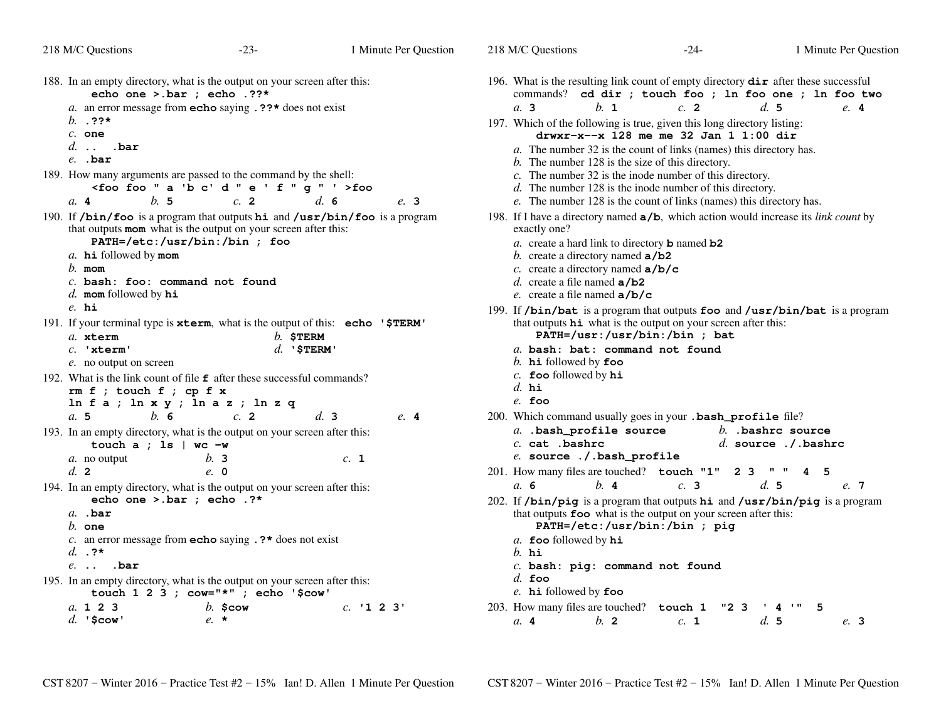| 218 M/C Questions                                                                                                                                                                                                                                                                                  | $-23-$               | 1 Minute Per Question | 218 M/C Questions                                                                                                                                                                                                                                                                                                       | $-24-$                                        | 1 Minute Per Question                                                |
|----------------------------------------------------------------------------------------------------------------------------------------------------------------------------------------------------------------------------------------------------------------------------------------------------|----------------------|-----------------------|-------------------------------------------------------------------------------------------------------------------------------------------------------------------------------------------------------------------------------------------------------------------------------------------------------------------------|-----------------------------------------------|----------------------------------------------------------------------|
| 188. In an empty directory, what is the output on your screen after this:<br>echo one > bar ; echo .??*<br>a. an error message from <b>echo</b> saying $.$ ??* does not exist<br>b. . ??*<br>$c.$ one<br>$d.$ $bar$                                                                                |                      |                       | 196. What is the resulting link count of empty directory $\text{dir}$ after these successful<br>b. 1<br>a.3<br>197. Which of the following is true, given this long directory listing:<br>a. The number 32 is the count of links (names) this directory has.                                                            | c.2<br>drwxr-x--x 128 me me 32 Jan 1 1:00 dir | commands? cd dir ; touch foo ; ln foo one ; ln foo two<br>d.5<br>e.4 |
| $e.$ . bar<br>189. How many arguments are passed to the command by the shell:<br><foo "="" '="" 'b="" a="" c'="" d="" e="" f="" foo="" g="">foo<br/>h.5<br/>a.4</foo>                                                                                                                              | c.2                  | d.6<br>e. 3           | $b$ . The number 128 is the size of this directory.<br>$c$ . The number 32 is the inode number of this directory.<br>$d$ . The number 128 is the inode number of this directory.<br>e. The number 128 is the count of links (names) this directory has.                                                                 |                                               |                                                                      |
| 190. If /bin/foo is a program that outputs hi and /usr/bin/foo is a program<br>that outputs mom what is the output on your screen after this:<br>PATH=/etc:/usr/bin:/bin ; foo<br>a. hi followed by mom<br>$b$ . mom<br>$c.$ bash: foo: command not found<br>$d.$ mom followed by $hi$<br>$e$ . hi |                      |                       | 198. If I have a directory named $a/b$ , which action would increase its <i>link count</i> by<br>exactly one?<br>a. create a hard link to directory <b>b</b> named $b2$<br>b. create a directory named $a/b2$<br>c. create a directory named $a/b/c$<br>d. create a file named $a/b2$<br>e. create a file named $a/b/c$ |                                               |                                                                      |
| 191. If your terminal type is xterm, what is the output of this: echo '\$TERM'<br>a. xterm<br>$c.$ 'xterm'<br>e. no output on screen<br>192. What is the link count of file $f$ after these successful commands?                                                                                   | $b.$ \$TERM          | $d.$ '\$TERM'         | 199. If /bin/bat is a program that outputs foo and /usr/bin/bat is a program<br>that outputs <b>hi</b> what is the output on your screen after this:<br>a. bash: bat: command not found<br>b. $h$ i followed by foo<br>$c.$ foo followed by $hi$                                                                        | PATH=/usr:/usr/bin:/bin ; bat                 |                                                                      |
| $rm f$ ; touch $f$ ; cp $f$ x<br>$ln f a$ ; $ln x y$ ; $ln a z$ ; $ln z q$<br>h.6<br>a.5                                                                                                                                                                                                           | c.2                  | d.3<br>e.4            | d. $hi$<br>$e$ . foo<br>200. Which command usually goes in your . bash_profile file?                                                                                                                                                                                                                                    |                                               |                                                                      |
| 193. In an empty directory, what is the output on your screen after this:<br>touch $a$ ; 1s   wc $-w$<br>a. no output<br>d.2                                                                                                                                                                       | b.3<br>e. 0          | c. 1                  | a. .bash_profile source<br>$c.$ cat $.$ bashrc<br>e. source ./.bash_profile<br>201. How many files are touched? touch "1"                                                                                                                                                                                               | 2 3                                           | $b.$ . bashrc source<br>d. source $./$ . bashrc<br>4 <sub>5</sub>    |
| 194. In an empty directory, what is the output on your screen after this:<br>echo one >.bar ; echo .?*<br>$a.$ .bar<br>$h$ one<br>c. an error message from <b>echo</b> saying $\cdot$ ?* does not exist<br>d. $.$ ?*<br>$e.$ . $bar$                                                               |                      |                       | a. 6<br>$h$ . 4<br>202. If /bin/pig is a program that outputs hi and /usr/bin/pig is a program<br>that outputs foo what is the output on your screen after this:<br>a. foo followed by hi<br>$b$ . hi                                                                                                                   | c.3<br>PATH=/etc:/usr/bin:/bin ; pig          | d.5<br>e. 7                                                          |
| 195. In an empty directory, what is the output on your screen after this:<br>touch $1 \t2 \t3$ ; cow="*"; echo '\$cow'<br>a. 1 2 3<br>$d.$ '\$cow'                                                                                                                                                 | $b.$ \$cow<br>$e. *$ | $c.$ '1 2 3'          | $c.$ bash: pig: command not found<br>$d.$ foo<br>e. hi followed by foo<br>203. How many files are touched? touch 1<br>h <sub>2</sub><br>a.4                                                                                                                                                                             | "2"3"<br>c. 1                                 | 5<br>4<br>d.5<br>e. 3                                                |